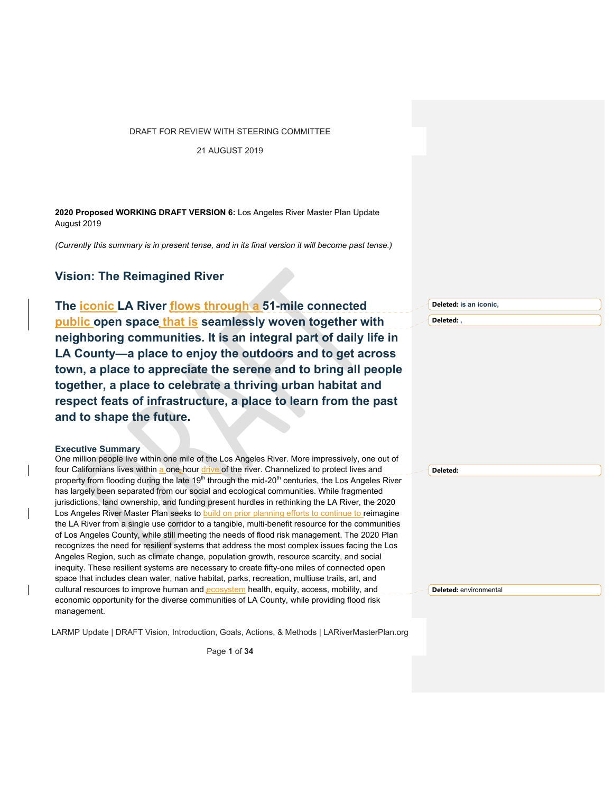21 AUGUST 2019

**2020 Proposed WORKING DRAFT VERSION 6:** Los Angeles River Master Plan Update August 2019

*(Currently this summary is in present tense, and in its final version it will become past tense.)* 

# **Vision: The Reimagined River**

**The iconic LA River flows through a 51-mile connected public open space that is seamlessly woven together with neighboring communities. It is an integral part of daily life in LA County—a place to enjoy the outdoors and to get across town, a place to appreciate the serene and to bring all people together, a place to celebrate a thriving urban habitat and respect feats of infrastructure, a place to learn from the past and to shape the future.**

#### **Executive Summary**

One million people live within one mile of the Los Angeles River. More impressively, one out of four Californians lives within a one-hour drive of the river. Channelized to protect lives and property from flooding during the late 19<sup>th</sup> through the mid-20<sup>th</sup> centuries, the Los Angeles River has largely been separated from our social and ecological communities. While fragmented jurisdictions, land ownership, and funding present hurdles in rethinking the LA River, the 2020 Los Angeles River Master Plan seeks to build on prior planning efforts to continue to reimagine the LA River from a single use corridor to a tangible, multi-benefit resource for the communities of Los Angeles County, while still meeting the needs of flood risk management. The 2020 Plan recognizes the need for resilient systems that address the most complex issues facing the Los Angeles Region, such as climate change, population growth, resource scarcity, and social inequity. These resilient systems are necessary to create fifty-one miles of connected open space that includes clean water, native habitat, parks, recreation, multiuse trails, art, and cultural resources to improve human and ecosystem health, equity, access, mobility, and economic opportunity for the diverse communities of LA County, while providing flood risk management.

LARMP Update | DRAFT Vision, Introduction, Goals, Actions, & Methods | LARiverMasterPlan.org

Page **1** of **34**

**Deleted: is an iconic,** 

**Deleted: ,**

**Deleted:** 

**Deleted:** environmental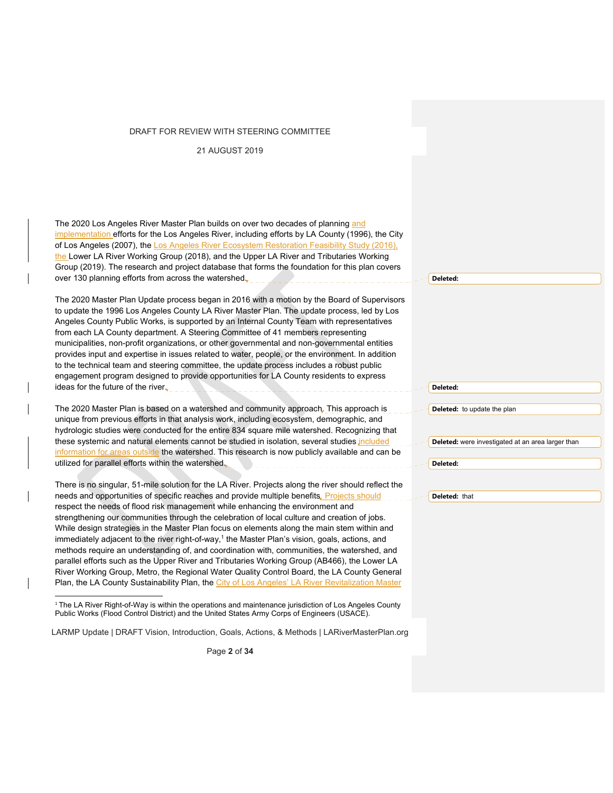21 AUGUST 2019

The 2020 Los Angeles River Master Plan builds on over two decades of planning and implementation efforts for the Los Angeles River, including efforts by LA County (1996), the City of Los Angeles (2007), the Los Angeles River Ecosystem Restoration Feasibility Study (2016), the Lower LA River Working Group (2018), and the Upper LA River and Tributaries Working Group (2019). The research and project database that forms the foundation for this plan covers over 130 planning efforts from across the watershed.

The 2020 Master Plan Update process began in 2016 with a motion by the Board of Supervisors to update the 1996 Los Angeles County LA River Master Plan. The update process, led by Los Angeles County Public Works, is supported by an Internal County Team with representatives from each LA County department. A Steering Committee of 41 members representing municipalities, non-profit organizations, or other governmental and non-governmental entities provides input and expertise in issues related to water, people, or the environment. In addition to the technical team and steering committee, the update process includes a robust public engagement program designed to provide opportunities for LA County residents to express ideas for the future of the river.

The 2020 Master Plan is based on a watershed and community approach. This approach is unique from previous efforts in that analysis work, including ecosystem, demographic, and hydrologic studies were conducted for the entire 834 square mile watershed. Recognizing that these systemic and natural elements cannot be studied in isolation, several studies included information for areas outside the watershed. This research is now publicly available and can be utilized for parallel efforts within the watershed.

There is no singular, 51-mile solution for the LA River. Projects along the river should reflect the needs and opportunities of specific reaches and provide multiple benefits. Projects should respect the needs of flood risk management while enhancing the environment and strengthening our communities through the celebration of local culture and creation of jobs. While design strategies in the Master Plan focus on elements along the main stem within and immediately adjacent to the river right-of-way,<sup>1</sup> the Master Plan's vision, goals, actions, and methods require an understanding of, and coordination with, communities, the watershed, and parallel efforts such as the Upper River and Tributaries Working Group (AB466), the Lower LA River Working Group, Metro, the Regional Water Quality Control Board, the LA County General Plan, the LA County Sustainability Plan, the City of Los Angeles' LA River Revitalization Master

LARMP Update | DRAFT Vision, Introduction, Goals, Actions, & Methods | LARiverMasterPlan.org

Page **2** of **34**

#### **Deleted:**

**Deleted:** 

**Deleted:** to update the plan

**Deleted:** were investigated at an area larger than

**Deleted:** 

**Deleted:** that

<sup>&</sup>lt;sup>1</sup> The LA River Right-of-Way is within the operations and maintenance jurisdiction of Los Angeles County Public Works (Flood Control District) and the United States Army Corps of Engineers (USACE).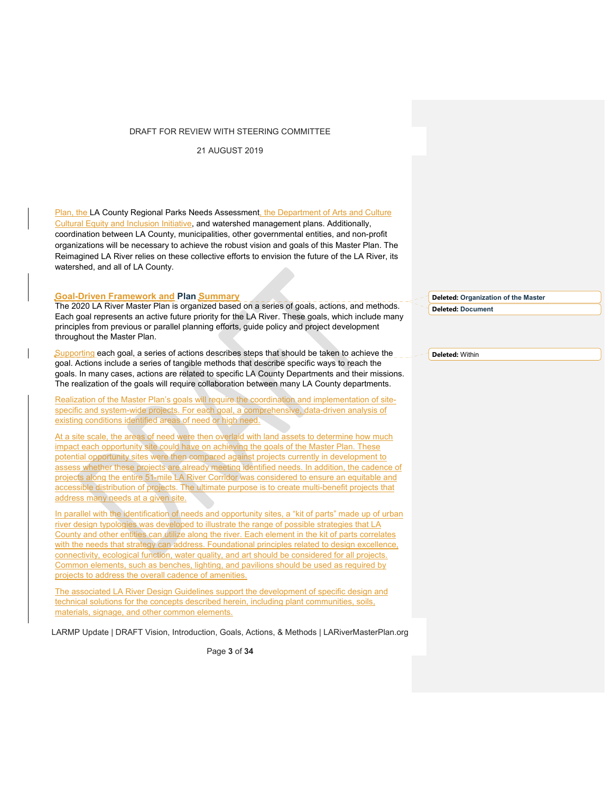21 AUGUST 2019

Plan, the LA County Regional Parks Needs Assessment, the Department of Arts and Culture Cultural Equity and Inclusion Initiative, and watershed management plans. Additionally, coordination between LA County, municipalities, other governmental entities, and non-profit organizations will be necessary to achieve the robust vision and goals of this Master Plan. The Reimagined LA River relies on these collective efforts to envision the future of the LA River, its watershed, and all of LA County.

# **Goal-Driven Framework and Plan Summary**

The 2020 LA River Master Plan is organized based on a series of goals, actions, and methods. Each goal represents an active future priority for the LA River. These goals, which include many principles from previous or parallel planning efforts, guide policy and project development throughout the Master Plan.

Supporting each goal, a series of actions describes steps that should be taken to achieve the goal. Actions include a series of tangible methods that describe specific ways to reach the goals. In many cases, actions are related to specific LA County Departments and their missions. The realization of the goals will require collaboration between many LA County departments.

Realization of the Master Plan's goals will require the coordination and implementation of sitespecific and system-wide projects. For each goal, a comprehensive, data-driven analysis of existing conditions identified areas of need or high need.

At a site scale, the areas of need were then overlaid with land assets to determine how much impact each opportunity site could have on achieving the goals of the Master Plan. These potential opportunity sites were then compared against projects currently in development to assess whether these projects are already meeting identified needs. In addition, the cadence of projects along the entire 51-mile LA River Corridor was considered to ensure an equitable and accessible distribution of projects. The ultimate purpose is to create multi-benefit projects that address many needs at a given site.

In parallel with the identification of needs and opportunity sites, a "kit of parts" made up of urban river design typologies was developed to illustrate the range of possible strategies that LA County and other entities can utilize along the river. Each element in the kit of parts correlates with the needs that strategy can address. Foundational principles related to design excellence, connectivity, ecological function, water quality, and art should be considered for all projects. Common elements, such as benches, lighting, and pavilions should be used as required by projects to address the overall cadence of amenities.

The associated LA River Design Guidelines support the development of specific design and technical solutions for the concepts described herein, including plant communities, soils, materials, signage, and other common elements.

LARMP Update | DRAFT Vision, Introduction, Goals, Actions, & Methods | LARiverMasterPlan.org

Page **3** of **34**

**Deleted: Organization of the Master Deleted: Document**

**Deleted:** Within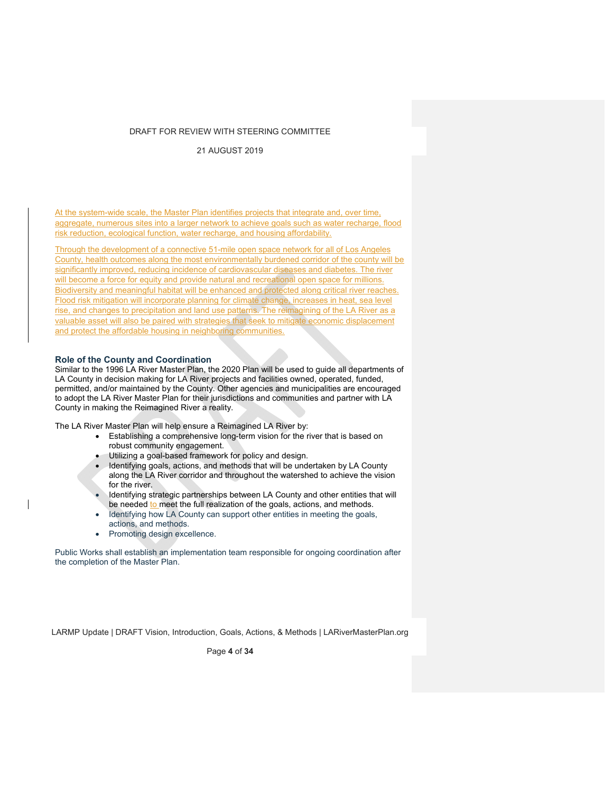21 AUGUST 2019

At the system-wide scale, the Master Plan identifies projects that integrate and, over time, aggregate, numerous sites into a larger network to achieve goals such as water recharge, flood risk reduction, ecological function, water recharge, and housing affordability.

Through the development of a connective 51-mile open space network for all of Los Angeles County, health outcomes along the most environmentally burdened corridor of the county will be significantly improved, reducing incidence of cardiovascular diseases and diabetes. The river will become a force for equity and provide natural and recreational open space for millions. Biodiversity and meaningful habitat will be enhanced and protected along critical river reaches. Flood risk mitigation will incorporate planning for climate change, increases in heat, sea level rise, and changes to precipitation and land use patterns. The reimagining of the LA River as a valuable asset will also be paired with strategies that seek to mitigate economic displacement and protect the affordable housing in neighboring communities.

## **Role of the County and Coordination**

Similar to the 1996 LA River Master Plan, the 2020 Plan will be used to guide all departments of LA County in decision making for LA River projects and facilities owned, operated, funded, permitted, and/or maintained by the County. Other agencies and municipalities are encouraged to adopt the LA River Master Plan for their jurisdictions and communities and partner with LA County in making the Reimagined River a reality.

The LA River Master Plan will help ensure a Reimagined LA River by:

- Establishing a comprehensive long-term vision for the river that is based on robust community engagement.
- Utilizing a goal-based framework for policy and design.
- Identifying goals, actions, and methods that will be undertaken by LA County along the LA River corridor and throughout the watershed to achieve the vision for the river
- Identifying strategic partnerships between LA County and other entities that will be needed to meet the full realization of the goals, actions, and methods.
- Identifying how LA County can support other entities in meeting the goals, actions, and methods.
- Promoting design excellence.

Public Works shall establish an implementation team responsible for ongoing coordination after the completion of the Master Plan.

LARMP Update | DRAFT Vision, Introduction, Goals, Actions, & Methods | LARiverMasterPlan.org

Page **4** of **34**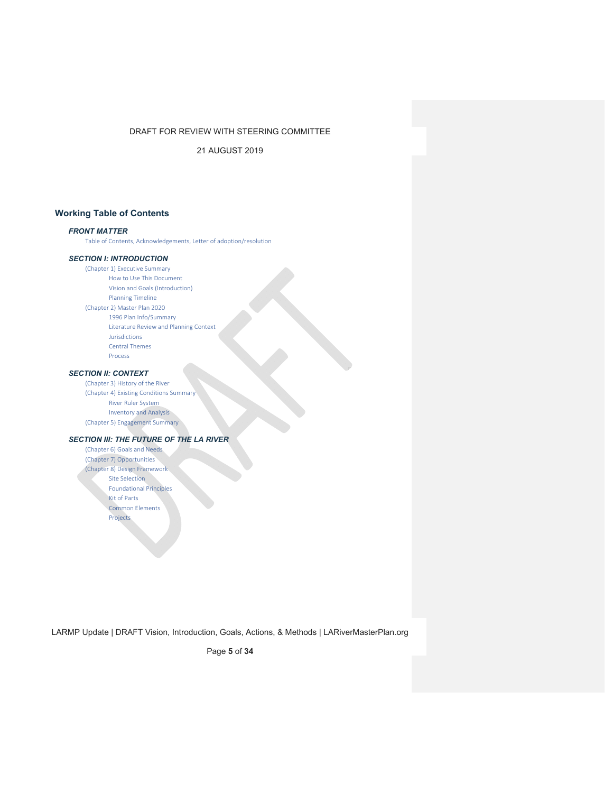21 AUGUST 2019

# **Working Table of Contents**

# *FRONT MATTER*

Table of Contents, Acknowledgements, Letter of adoption/resolution

# *SECTION I: INTRODUCTION*

(Chapter 1) Executive Summary How to Use This Document Vision and Goals (Introduction) Planning Timeline (Chapter 2) Master Plan 2020 1996 Plan Info/Summary Literature Review and Planning Context Jurisdictions Central Themes Process

## *SECTION II: CONTEXT*

(Chapter 3) History of the River (Chapter 4) Existing Conditions Summary River Ruler System Inventory and Analysis (Chapter 5) Engagement Summary

## *SECTION III: THE FUTURE OF THE LA RIVER*

(Chapter 6) Goals and Needs (Chapter 7) Opportunities (Chapter 8) Design Framework Site Selection Foundational Principles Kit of Parts Common Elements Projects

LARMP Update | DRAFT Vision, Introduction, Goals, Actions, & Methods | LARiverMasterPlan.org

Page **5** of **34**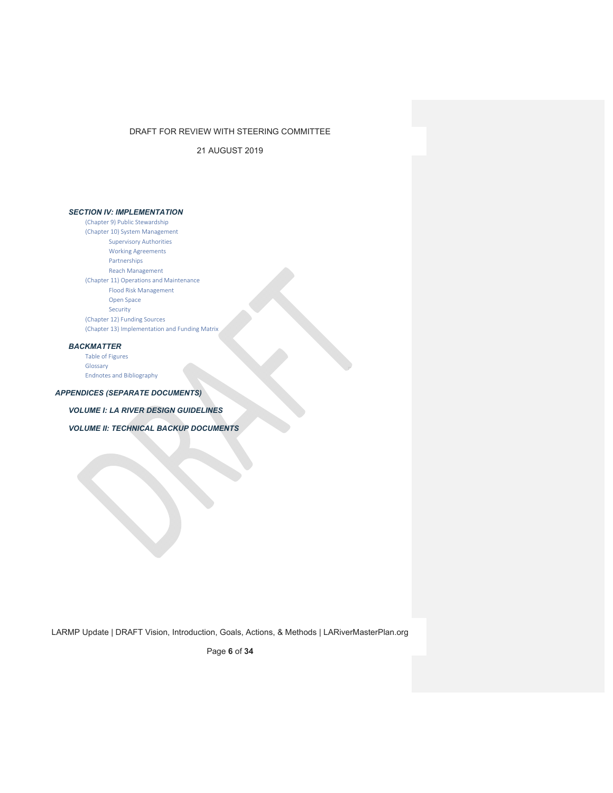21 AUGUST 2019

# *SECTION IV: IMPLEMENTATION*

(Chapter 9) Public Stewardship (Chapter 10) System Management Supervisory Authorities Working Agreements Partnerships Reach Management (Chapter 11) Operations and Maintenance Flood Risk Management Open Space Security (Chapter 12) Funding Sources (Chapter 13) Implementation and Funding Matrix

# *BACKMATTER*

Table of Figures Glossary Endnotes and Bibliography

# *APPENDICES (SEPARATE DOCUMENTS)*

*VOLUME I: LA RIVER DESIGN GUIDELINES* 

*VOLUME II: TECHNICAL BACKUP DOCUMENTS* 

LARMP Update | DRAFT Vision, Introduction, Goals, Actions, & Methods | LARiverMasterPlan.org

Page **6** of **34**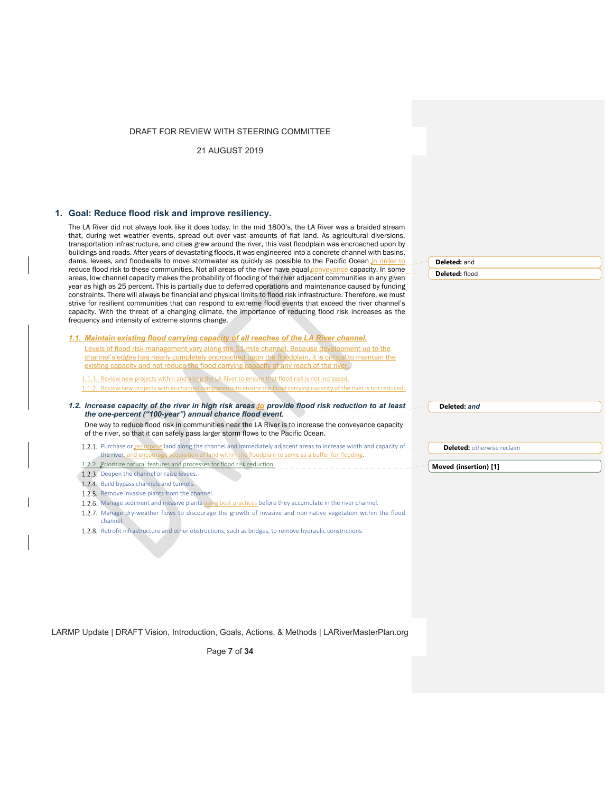21 AUGUST 2019

## **1. Goal: Reduce flood risk and improve resiliency.**

The LA River did not always look like it does today. In the mid 1800's, the LA River was a braided stream that, during wet weather events, spread out over vast amounts of flat land. As agricultural diversions, transportation infrastructure, and cities grew around the river, this vast floodplain was encroached upon by buildings and roads. After years of devastating floods, it was engineered into a concrete channel with basins, dams, levees, and floodwalls to move stormwater as quickly as possible to the Pacific Ocean in order to reduce flood risk to these communities. Not all areas of the river have equal conveyance capacity. In some areas, low channel capacity makes the probability of flooding of the river adjacent communities in any given year as high as 25 percent. This is partially due to deferred operations and maintenance caused by funding constraints. There will always be financial and physical limits to flood risk infrastructure. Therefore, we must strive for resilient communities that can respond to extreme flood events that exceed the river channel's capacity. With the threat of a changing climate, the importance of reducing flood risk increases as the frequency and intensity of extreme storms change.

| 1.1. Maintain existing flood carrying capacity of all reaches of the LA River channel.               |
|------------------------------------------------------------------------------------------------------|
| Levels of flood risk management vary along the 51-mile channel. Because development up to the        |
| channel's edges has nearly completely encroached upon the floodplain, it is critical to maintain the |
| existing capacity and not reduce the flood carrying capacity of any reach of the river.              |
| 1.1.1. Review new projects within and along the LA River to ensure that flood risk is not increased. |

1.1.2. Review new projects with in-channel components to ensure the flood carrying capacity of the river is not reduced.

- *1.2. Increase capacity of the river in high risk areas to provide flood risk reduction to at least the one-percent ("100-year") annual chance flood event.* 
	- One way to reduce flood risk in communities near the LA River is to increase the conveyance capacity of the river, so that it can safely pass larger storm flows to the Pacific Ocean.
	- 1.2.1. Purchase or repurpose land along the channel and immediately adjacent areas to increase width and capacity of the river, and e
	- 1.2.2. Prioritize natural features and processes for flood risk reduction.
	- 1.2.3. Deepen the channel or raise levees.
	- 1.2.4. Build bypass channels and tunnels.
	- 1.2.5. Remove invasive plants from the channel.
	- 1.2.6. Manage sediment and invasive plants using best practices before they accumulate in the river channel.
	- 1.2.7. Manage dry-weather flows to discourage the growth of invasive and non-native vegetation within the flood channel.
	- 1.2.8. Retrofit infrastructure and other obstructions, such as bridges, to remove hydraulic constrictions.

LARMP Update | DRAFT Vision, Introduction, Goals, Actions, & Methods | LARiverMasterPlan.org

Page **7** of **34**



**Deleted:** *and*

**Moved (insertion) [1]**

**Deleted:** otherwise reclaim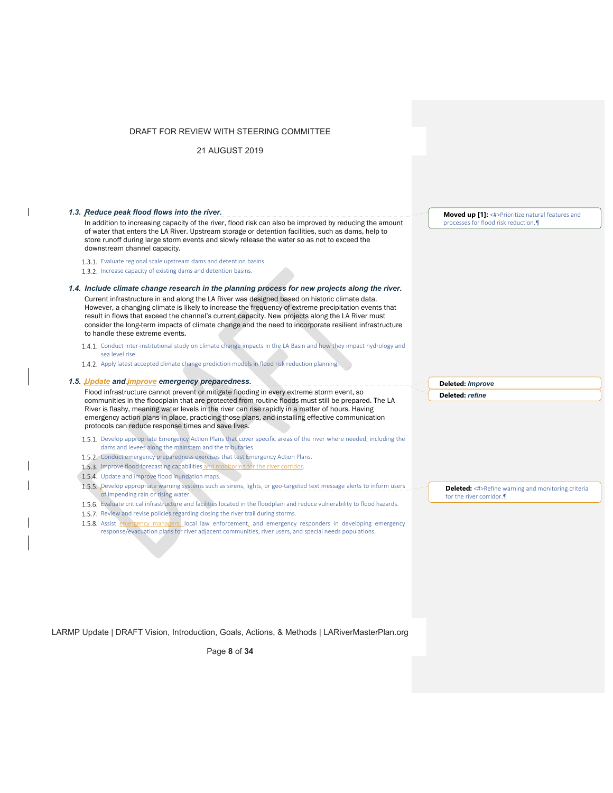| DRAFT FOR REVIEW WITH STEERING COMMITTEE                                                                                                                                                                                                                                                                                                                                                                                                                       |                                                                                         |
|----------------------------------------------------------------------------------------------------------------------------------------------------------------------------------------------------------------------------------------------------------------------------------------------------------------------------------------------------------------------------------------------------------------------------------------------------------------|-----------------------------------------------------------------------------------------|
| 21 AUGUST 2019                                                                                                                                                                                                                                                                                                                                                                                                                                                 |                                                                                         |
| 1.3. Reduce peak flood flows into the river.<br>In addition to increasing capacity of the river, flood risk can also be improved by reducing the amount                                                                                                                                                                                                                                                                                                        | Moved up [1]: <#>Prioritize natural features and<br>processes for flood risk reduction. |
| of water that enters the LA River. Upstream storage or detention facilities, such as dams, help to<br>store runoff during large storm events and slowly release the water so as not to exceed the<br>downstream channel capacity.                                                                                                                                                                                                                              |                                                                                         |
| 1.3.1. Evaluate regional scale upstream dams and detention basins.<br>1.3.2. Increase capacity of existing dams and detention basins.                                                                                                                                                                                                                                                                                                                          |                                                                                         |
| 1.4. Include climate change research in the planning process for new projects along the river.                                                                                                                                                                                                                                                                                                                                                                 |                                                                                         |
| Current infrastructure in and along the LA River was designed based on historic climate data.<br>However, a changing climate is likely to increase the frequency of extreme precipitation events that<br>result in flows that exceed the channel's current capacity. New projects along the LA River must<br>consider the long-term impacts of climate change and the need to incorporate resilient infrastructure<br>to handle these extreme events.          |                                                                                         |
| 1.4.1. Conduct inter-institutional study on climate change impacts in the LA Basin and how they impact hydrology and<br>sea level rise.<br>1.4.2. Apply latest accepted climate change prediction models in flood risk reduction planning.                                                                                                                                                                                                                     |                                                                                         |
| 1.5. Update and improve emergency preparedness.                                                                                                                                                                                                                                                                                                                                                                                                                | Deleted: Improve                                                                        |
|                                                                                                                                                                                                                                                                                                                                                                                                                                                                |                                                                                         |
| Flood infrastructure cannot prevent or mitigate flooding in every extreme storm event, so<br>communities in the floodplain that are protected from routine floods must still be prepared. The LA<br>River is flashy, meaning water levels in the river can rise rapidly in a matter of hours. Having<br>emergency action plans in place, practicing those plans, and installing effective communication<br>protocols can reduce response times and save lives. | Deleted: refine                                                                         |
| 1.5.1. Develop appropriate Emergency Action Plans that cover specific areas of the river where needed, including the<br>dams and levees along the mainstem and the tributaries.                                                                                                                                                                                                                                                                                |                                                                                         |
| 1.5.2. Conduct emergency preparedness exercises that test Emergency Action Plans.<br>1.5.3. Improve flood forecasting capabilities and monitoring for the river corridor.                                                                                                                                                                                                                                                                                      |                                                                                         |
| 1.5.4. Update and improve flood inundation maps.                                                                                                                                                                                                                                                                                                                                                                                                               |                                                                                         |
| 1.5.5. Develop appropriate warning systems such as sirens, lights, or geo-targeted text message alerts to inform users<br>of impending rain or rising water.                                                                                                                                                                                                                                                                                                   |                                                                                         |
| 1.5.6. Evaluate critical infrastructure and facilities located in the floodplain and reduce vulnerability to flood hazards.                                                                                                                                                                                                                                                                                                                                    | for the river corridor.                                                                 |
| 1.5.7. Review and revise policies regarding closing the river trail during storms.                                                                                                                                                                                                                                                                                                                                                                             |                                                                                         |
| 1.5.8. Assist emergency managers, local law enforcement, and emergency responders in developing emergency<br>response/evacuation plans for river adjacent communities, river users, and special needs populations.                                                                                                                                                                                                                                             |                                                                                         |
|                                                                                                                                                                                                                                                                                                                                                                                                                                                                | <b>Deleted:</b> <#>Refine warning and monitoring criteria                               |
|                                                                                                                                                                                                                                                                                                                                                                                                                                                                |                                                                                         |

LARMP Update | DRAFT Vision, Introduction, Goals, Actions, & Methods | LARiverMasterPlan.org

 $\mathbf{l}$ 

 $\overline{\phantom{a}}$ 

 $\overline{\phantom{a}}$ 

Page **8** of **34**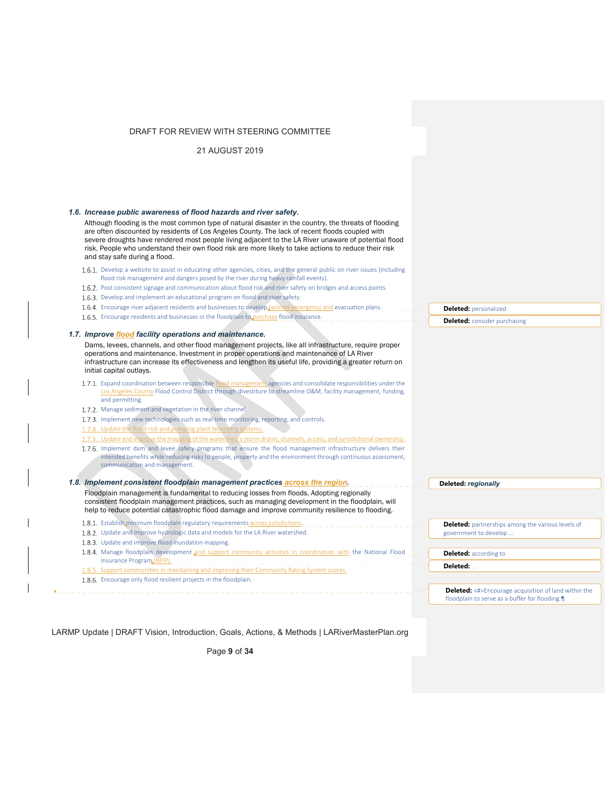21 AUGUST 2019

| 1.6. Increase public awareness of flood hazards and river safety.                                                                                                                                                                                                                                                                                                                                                                                          |                                                                                                              |
|------------------------------------------------------------------------------------------------------------------------------------------------------------------------------------------------------------------------------------------------------------------------------------------------------------------------------------------------------------------------------------------------------------------------------------------------------------|--------------------------------------------------------------------------------------------------------------|
| Although flooding is the most common type of natural disaster in the country, the threats of flooding<br>are often discounted by residents of Los Angeles County. The lack of recent floods coupled with<br>severe droughts have rendered most people living adjacent to the LA River unaware of potential flood<br>risk. People who understand their own flood risk are more likely to take actions to reduce their risk<br>and stay safe during a flood. |                                                                                                              |
| 1.6.1. Develop a website to assist in educating other agencies, cities, and the general public on river issues (including<br>flood risk management and dangers posed by the river during heavy rainfall events).                                                                                                                                                                                                                                           |                                                                                                              |
| 1.6.2. Post consistent signage and communication about flood risk and river safety on bridges and access points.                                                                                                                                                                                                                                                                                                                                           |                                                                                                              |
| 1.6.3. Develop and implement an educational program on flood and river safety.                                                                                                                                                                                                                                                                                                                                                                             |                                                                                                              |
| 1.6.4. Encourage river adjacent residents and businesses to develop tailored emergency and evacuation plans.                                                                                                                                                                                                                                                                                                                                               | <b>Deleted:</b> personalized                                                                                 |
| 1.6.5. Encourage residents and businesses in the floodplain to purchase flood insurance.                                                                                                                                                                                                                                                                                                                                                                   | <b>Deleted:</b> consider purchasing                                                                          |
| 1.7. Improve flood facility operations and maintenance.                                                                                                                                                                                                                                                                                                                                                                                                    |                                                                                                              |
| Dams, levees, channels, and other flood management projects, like all infrastructure, require proper<br>operations and maintenance. Investment in proper operations and maintenance of LA River<br>infrastructure can increase its effectiveness and lengthen its useful life, providing a greater return on<br>initial capital outlays.                                                                                                                   |                                                                                                              |
| 1.7.1. Expand coordination between responsible flood management agencies and consolidate responsibilities under the                                                                                                                                                                                                                                                                                                                                        |                                                                                                              |
| Los Angeles County Flood Control District through divestiture to streamline O&M, facility management, funding,<br>and permitting.                                                                                                                                                                                                                                                                                                                          |                                                                                                              |
| 1.7.2. Manage sediment and vegetation in the river channel.                                                                                                                                                                                                                                                                                                                                                                                                |                                                                                                              |
| 1.7.3. Implement new technologies such as real-time monitoring, reporting, and controls.                                                                                                                                                                                                                                                                                                                                                                   |                                                                                                              |
| 1.7.4. Update the flood risk and pumping plant telemetry systems.                                                                                                                                                                                                                                                                                                                                                                                          |                                                                                                              |
| 1.7.5. Update and improve the mapping of the watershed's storm drains, channels, access, and jurisdictional ownership.                                                                                                                                                                                                                                                                                                                                     |                                                                                                              |
| 1.7.6. Implement dam and levee safety programs that ensure the flood management infrastructure delivers their<br>intended benefits while reducing risks to people, property and the environment through continuous assessment,<br>communication and management.                                                                                                                                                                                            |                                                                                                              |
| 1.8. Implement consistent floodplain management practices across the region.                                                                                                                                                                                                                                                                                                                                                                               | Deleted: regionally                                                                                          |
| Floodplain management is fundamental to reducing losses from floods. Adopting regionally<br>consistent floodplain management practices, such as managing development in the floodplain, will<br>help to reduce potential catastrophic flood damage and improve community resilience to flooding.                                                                                                                                                           |                                                                                                              |
| 1.8.1. Establish minimum floodplain regulatory requirements across jurisdictions.                                                                                                                                                                                                                                                                                                                                                                          | <b>Deleted:</b> partnerships among the various levels of                                                     |
| 1.8.2. Update and improve hydrologic data and models for the LA River watershed.                                                                                                                                                                                                                                                                                                                                                                           | government to develop                                                                                        |
| 1.8.3. Update and improve flood inundation mapping.                                                                                                                                                                                                                                                                                                                                                                                                        |                                                                                                              |
| 1.8.4. Manage floodplain development and support community activities in coordination with the National Flood<br>Insurance Program (NFIP).                                                                                                                                                                                                                                                                                                                 | <b>Deleted:</b> according to                                                                                 |
| 1.8.5. Support communities in maintaining and improving their Community Rating System scores.                                                                                                                                                                                                                                                                                                                                                              | Deleted:                                                                                                     |
| 1.8.6. Encourage only flood resilient projects in the floodplain.                                                                                                                                                                                                                                                                                                                                                                                          |                                                                                                              |
|                                                                                                                                                                                                                                                                                                                                                                                                                                                            | <b>Deleted:</b> <#>Encourage acquisition of land within the<br>floodplain to serve as a buffer for flooding. |
|                                                                                                                                                                                                                                                                                                                                                                                                                                                            |                                                                                                              |

LARMP Update | DRAFT Vision, Introduction, Goals, Actions, & Methods | LARiverMasterPlan.org

 $\mathbf{I}$ 

 $\mathsf{l}$ 

Page **9** of **34**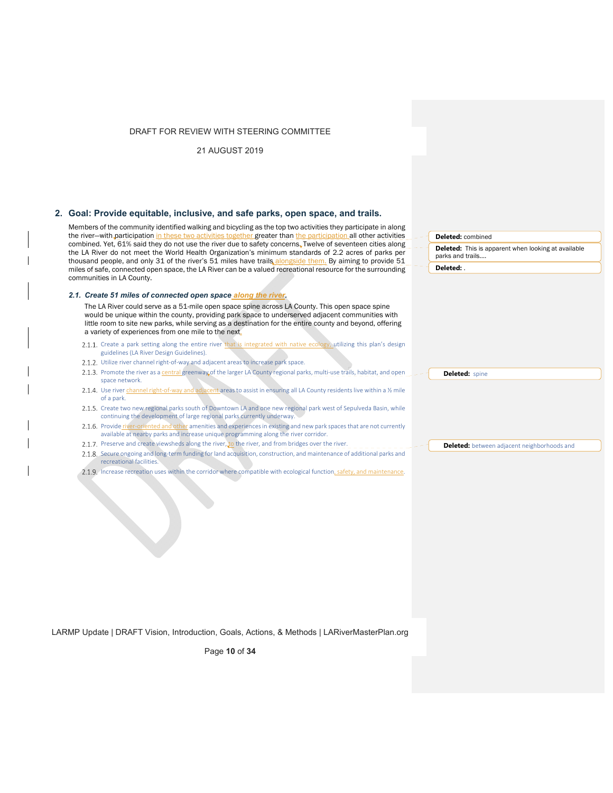21 AUGUST 2019

## **2. Goal: Provide equitable, inclusive, and safe parks, open space, and trails.**

Members of the community identified walking and bicycling as the top two activities they participate in along the river-with participation in these two activities together greater than the participation all other activities combined. Yet, 61% said they do not use the river due to safety concerns. Twelve of seventeen cities along the LA River do not meet the World Health Organization's minimum standards of 2.2 acres of parks per thousand people, and only 31 of the river's 51 miles have trails alongside them. By aiming to provide 51 miles of safe, connected open space, the LA River can be a valued recreational resource for the surrounding communities in LA County.

#### *2.1. Create 51 miles of connected open space along the river.*

The LA River could serve as a 51-mile open space spine across LA County. This open space spine would be unique within the county, providing park space to underserved adjacent communities with little room to site new parks, while serving as a destination for the entire county and beyond, offering a variety of experiences from one mile to the next.

- 2.1.1. Create a park setting along the entire river that is integrated with native ecology, utilizing this plan's design guidelines (LA River Design Guidelines).
- 2.1.2. Utilize river channel right-of-way and adjacent areas to increase park space.
- 2.1.3. Promote the river as a central greenway of the larger LA County regional parks, multi-use trails, habitat, and open space network.
- 2.1.4. Use river channel right-of-way and adjacent areas to assist in ensuring all LA County residents live within a 1/2 mile of a park.
- 2.1.5. Create two new regional parks south of Downtown LA and one new regional park west of Sepulveda Basin, while continuing the development of large regional parks currently underway.
- 2.1.6. Provide river-oriented and other amenities and experiences in existing and new park spaces that are not currently available at nearby parks and increase unique programming along the river corridor.
- 2.1.7. Preserve and create viewsheds along the river, to the river, and from bridges over the river.
- 2.1.8. Secure ongoing and long-term funding for land acquisition, construction, and maintenance of additional parks and recreational facilities.
- 2.1.9. Increase recreation uses within the corridor where compatible with ecological function, safety, and maintenance.

**Deleted:** combined

**Deleted:** This is apparent when looking at available parks and trails.…

**Deleted:** .

Deleted: spine

**Deleted:** between adjacent neighborhoods and

LARMP Update | DRAFT Vision, Introduction, Goals, Actions, & Methods | LARiverMasterPlan.org

Page **10** of **34**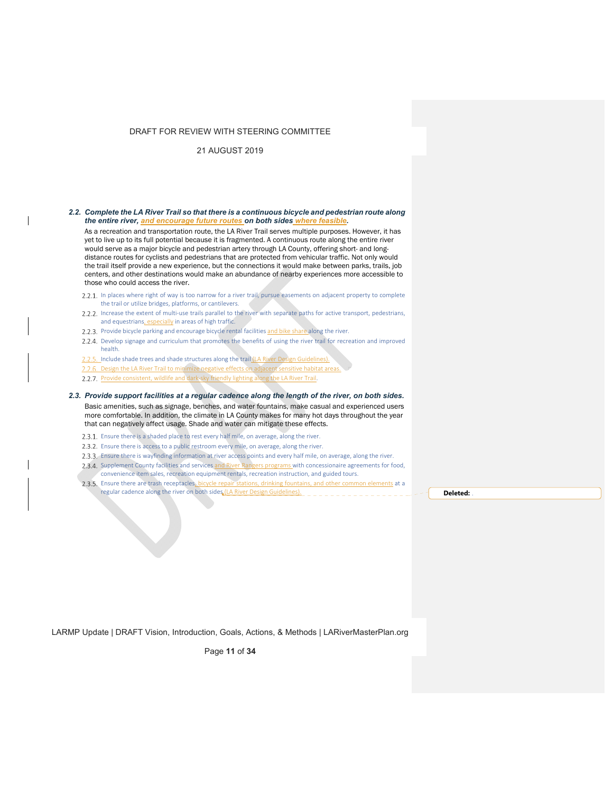# 21 AUGUST 2019

 $\mathbf{I}$ 

| 2.2. Complete the LA River Trail so that there is a continuous bicycle and pedestrian route along<br>the entire river, and encourage future routes on both sides where feasible.                                                                                                                                                                                                                                                                                                                                                                                                                                                                                                      |          |
|---------------------------------------------------------------------------------------------------------------------------------------------------------------------------------------------------------------------------------------------------------------------------------------------------------------------------------------------------------------------------------------------------------------------------------------------------------------------------------------------------------------------------------------------------------------------------------------------------------------------------------------------------------------------------------------|----------|
| As a recreation and transportation route, the LA River Trail serves multiple purposes. However, it has<br>yet to live up to its full potential because it is fragmented. A continuous route along the entire river<br>would serve as a major bicycle and pedestrian artery through LA County, offering short- and long-<br>distance routes for cyclists and pedestrians that are protected from vehicular traffic. Not only would<br>the trail itself provide a new experience, but the connections it would make between parks, trails, job<br>centers, and other destinations would make an abundance of nearby experiences more accessible to<br>those who could access the river. |          |
| 2.2.1. In places where right of way is too narrow for a river trail, pursue easements on adjacent property to complete<br>the trail or utilize bridges, platforms, or cantilevers.                                                                                                                                                                                                                                                                                                                                                                                                                                                                                                    |          |
| 2.2.2. Increase the extent of multi-use trails parallel to the river with separate paths for active transport, pedestrians,<br>and equestrians, especially in areas of high traffic.                                                                                                                                                                                                                                                                                                                                                                                                                                                                                                  |          |
| 2.2.3. Provide bicycle parking and encourage bicycle rental facilities and bike share along the river.                                                                                                                                                                                                                                                                                                                                                                                                                                                                                                                                                                                |          |
| 2.2.4. Develop signage and curriculum that promotes the benefits of using the river trail for recreation and improved<br>health.                                                                                                                                                                                                                                                                                                                                                                                                                                                                                                                                                      |          |
| 2.2.5. Include shade trees and shade structures along the trail (LA River Design Guidelines).                                                                                                                                                                                                                                                                                                                                                                                                                                                                                                                                                                                         |          |
| 2.2.6. Design the LA River Trail to minimize negative effects on adjacent sensitive habitat areas.                                                                                                                                                                                                                                                                                                                                                                                                                                                                                                                                                                                    |          |
| 2.2.7. Provide consistent, wildlife and dark-sky friendly lighting along the LA River Trail.                                                                                                                                                                                                                                                                                                                                                                                                                                                                                                                                                                                          |          |
| 2.3. Provide support facilities at a regular cadence along the length of the river, on both sides.                                                                                                                                                                                                                                                                                                                                                                                                                                                                                                                                                                                    |          |
| Basic amenities, such as signage, benches, and water fountains, make casual and experienced users<br>more comfortable. In addition, the climate in LA County makes for many hot days throughout the year<br>that can negatively affect usage. Shade and water can mitigate these effects.                                                                                                                                                                                                                                                                                                                                                                                             |          |
| 2.3.1. Ensure there is a shaded place to rest every half mile, on average, along the river.                                                                                                                                                                                                                                                                                                                                                                                                                                                                                                                                                                                           |          |
| 2.3.2. Ensure there is access to a public restroom every mile, on average, along the river.                                                                                                                                                                                                                                                                                                                                                                                                                                                                                                                                                                                           |          |
| 2.3.3. Ensure there is wayfinding information at river access points and every half mile, on average, along the river.                                                                                                                                                                                                                                                                                                                                                                                                                                                                                                                                                                |          |
| 2.3.4. Supplement County facilities and services and River Rangers programs with concessionaire agreements for food,<br>convenience item sales, recreation equipment rentals, recreation instruction, and guided tours.                                                                                                                                                                                                                                                                                                                                                                                                                                                               |          |
| 2.3.5. Ensure there are trash receptacles, bicycle repair stations, drinking fountains, and other common elements at a                                                                                                                                                                                                                                                                                                                                                                                                                                                                                                                                                                |          |
| regular cadence along the river on both sides (LA River Design Guidelines).                                                                                                                                                                                                                                                                                                                                                                                                                                                                                                                                                                                                           | Deleted: |
|                                                                                                                                                                                                                                                                                                                                                                                                                                                                                                                                                                                                                                                                                       |          |
|                                                                                                                                                                                                                                                                                                                                                                                                                                                                                                                                                                                                                                                                                       |          |

LARMP Update | DRAFT Vision, Introduction, Goals, Actions, & Methods | LARiverMasterPlan.org

Page **11** of **34**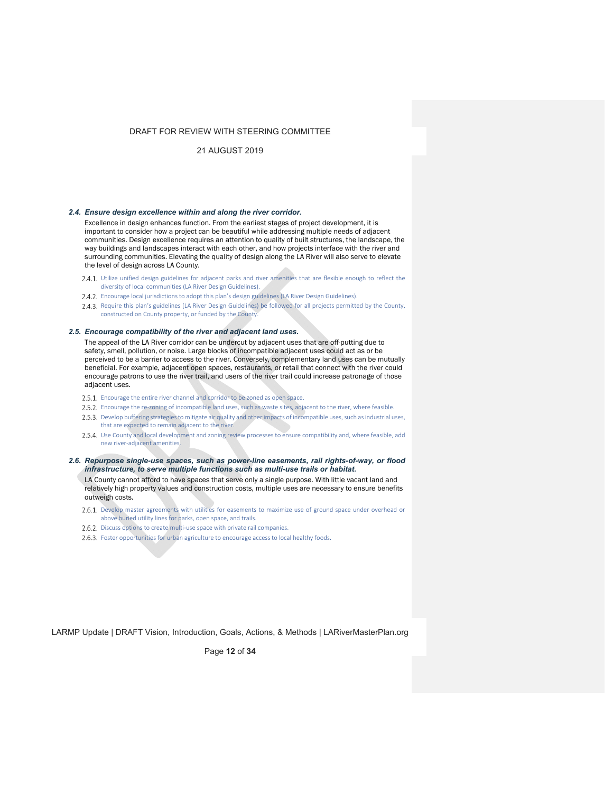### 21 AUGUST 2019

#### *2.4. Ensure design excellence within and along the river corridor.*

Excellence in design enhances function. From the earliest stages of project development, it is important to consider how a project can be beautiful while addressing multiple needs of adjacent communities. Design excellence requires an attention to quality of built structures, the landscape, the way buildings and landscapes interact with each other, and how projects interface with the river and surrounding communities. Elevating the quality of design along the LA River will also serve to elevate the level of design across LA County.

- 2.4.1. Utilize unified design guidelines for adjacent parks and river amenities that are flexible enough to reflect the diversity of local communities (LA River Design Guidelines).
- 2.4.2. Encourage local jurisdictions to adopt this plan's design guidelines (LA River Design Guidelines).
- 2.4.3. Require this plan's guidelines (LA River Design Guidelines) be followed for all projects permitted by the County, constructed on County property, or funded by the County.

# *2.5. Encourage compatibility of the river and adjacent land uses.*

The appeal of the LA River corridor can be undercut by adjacent uses that are off-putting due to safety, smell, pollution, or noise. Large blocks of incompatible adjacent uses could act as or be perceived to be a barrier to access to the river. Conversely, complementary land uses can be mutually beneficial. For example, adjacent open spaces, restaurants, or retail that connect with the river could encourage patrons to use the river trail, and users of the river trail could increase patronage of those adjacent uses.

- 2.5.1. Encourage the entire river channel and corridor to be zoned as open space.
- 2.5.2. Encourage the re-zoning of incompatible land uses, such as waste sites, adjacent to the river, where feasible.
- 2.5.3. Develop buffering strategies to mitigate air quality and other impacts of incompatible uses, such as industrial uses, that are expected to remain adjacent to the river.
- Use County and local development and zoning review processes to ensure compatibility and, where feasible, add new river‐adjacent amenities.
- *2.6. Repurpose single-use spaces, such as power-line easements, rail rights-of-way, or flood infrastructure, to serve multiple functions such as multi-use trails or habitat.*

LA County cannot afford to have spaces that serve only a single purpose. With little vacant land and relatively high property values and construction costs, multiple uses are necessary to ensure benefits outweigh costs.

- 2.6.1. Develop master agreements with utilities for easements to maximize use of ground space under overhead or above buried utility lines for parks, open space, and trails.
- 2.6.2. Discuss options to create multi-use space with private rail companies.
- 2.6.3. Foster opportunities for urban agriculture to encourage access to local healthy foods.

LARMP Update | DRAFT Vision, Introduction, Goals, Actions, & Methods | LARiverMasterPlan.org

Page **12** of **34**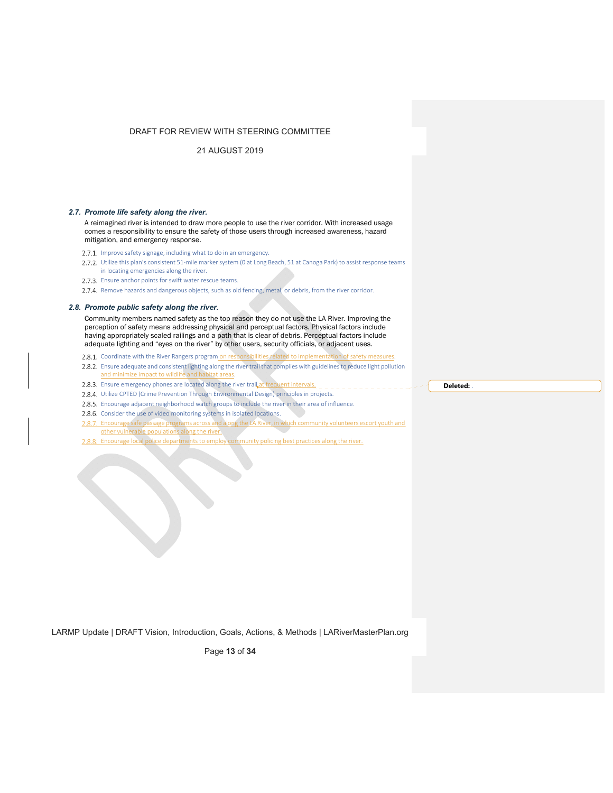21 AUGUST 2019

#### *2.7. Promote life safety along the river.*

A reimagined river is intended to draw more people to use the river corridor. With increased usage comes a responsibility to ensure the safety of those users through increased awareness, hazard mitigation, and emergency response.

2.7.1. Improve safety signage, including what to do in an emergency.

2.7.2. Utilize this plan's consistent 51-mile marker system (0 at Long Beach, 51 at Canoga Park) to assist response teams in locating emergencies along the river.

2.7.3. Ensure anchor points for swift water rescue teams.

2.7.4. Remove hazards and dangerous objects, such as old fencing, metal, or debris, from the river corridor.

#### *2.8. Promote public safety along the river.*

Community members named safety as the top reason they do not use the LA River. Improving the perception of safety means addressing physical and perceptual factors. Physical factors include having appropriately scaled railings and a path that is clear of debris. Perceptual factors include adequate lighting and "eyes on the river" by other users, security officials, or adjacent uses.

- 2.8.1. Coordinate with the River Rangers program on responsibilities related to implementation of safety measures.
- 2.8.2. Ensure adequate and consistent lighting along the river trail that complies with guidelines to reduce light pollution and minimize impact to wildlife and habitat areas.
- 2.8.3. Ensure emergency phones are located along the river trail at frequent intervals.
- 2.8.4. Utilize CPTED (Crime Prevention Through Environmental Design) principles in projects.
- 2.8.5. Encourage adjacent neighborhood watch groups to include the river in their area of influence.
- 2.8.6. Consider the use of video monitoring systems in isolated locations.
- 2.8.7. Encourage safe passage programs across and along the LA River, in which community volunteers escort youth and other vulnerable populations along the river.
- 2.8.8. Encourage local police departments to employ community policing best practices along the river.

**Deleted:** .

LARMP Update | DRAFT Vision, Introduction, Goals, Actions, & Methods | LARiverMasterPlan.org

Page **13** of **34**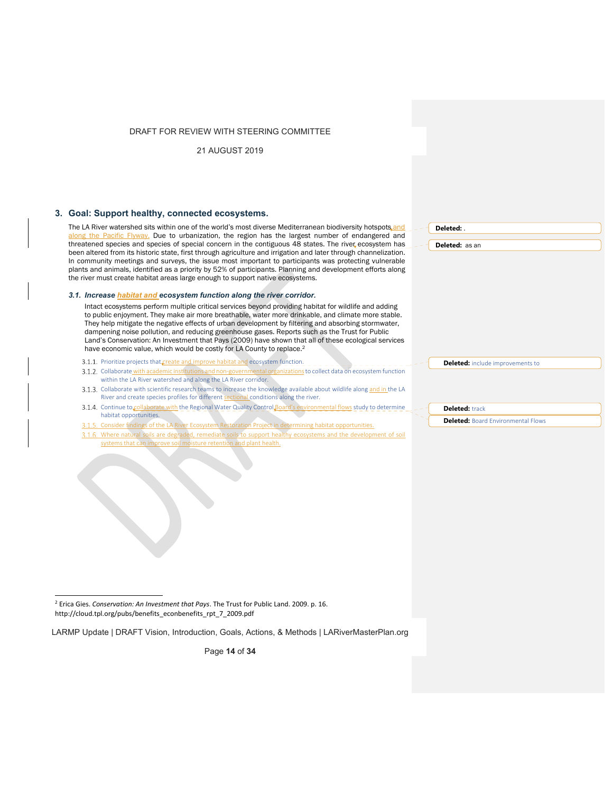21 AUGUST 2019

## **3. Goal: Support healthy, connected ecosystems.**

The LA River watershed sits within one of the world's most diverse Mediterranean biodiversity hotspots and along the Pacific Flyway. Due to urbanization, the region has the largest number of endangered and threatened species and species of special concern in the contiguous 48 states. The river ecosystem has been altered from its historic state, first through agriculture and irrigation and later through channelization. In community meetings and surveys, the issue most important to participants was protecting vulnerable plants and animals, identified as a priority by 52% of participants. Planning and development efforts along the river must create habitat areas large enough to support native ecosystems.

#### *3.1. Increase habitat and ecosystem function along the river corridor.*

Intact ecosystems perform multiple critical services beyond providing habitat for wildlife and adding to public enjoyment. They make air more breathable, water more drinkable, and climate more stable. They help mitigate the negative effects of urban development by filtering and absorbing stormwater, dampening noise pollution, and reducing greenhouse gases. Reports such as the Trust for Public Land's Conservation: An Investment that Pays (2009) have shown that all of these ecological services have economic value, which would be costly for LA County to replace.<sup>2</sup>

- 3.1.1. Prioritize projects that create and improve habitat and ecosystem function. 3.1.2. Collaborate with academic institutions and non-governmental organizations to collect data on ecosystem function
- within the LA River watershed and along the LA River corridor.

and the control of the control of the control of

- 3.1.3. Collaborate with scientific research teams to increase the knowledge available about wildlife along and in the LA River and create species profiles for different sectional conditions along the river.
- 3.1.4. Continue to collaborate with the Regional Water Quality Control Board's environmental flows study to determine habitat opportunities.
- 3.1.5. Consider findings of the LA River Ecosystem Restoration Project in determining habitat opportunities.
- 3.1.6. Where natural soils are degraded, remediate soils to support healthy ecosystems and the development of soil<br>systems that can improve soil moisture retention and plant health. soil systems that incidence soil in that that the incidence soil and the solid moint that the solid moint health.

2 Erica Gies. *Conservation: An Investment that Pays*. The Trust for Public Land. 2009. p. 16. http://cloud.tpl.org/pubs/benefits\_econbenefits\_rpt\_7\_2009.pdf

LARMP Update | DRAFT Vision, Introduction, Goals, Actions, & Methods | LARiverMasterPlan.org

Page **14** of **34**

| elete<br>. |  |
|------------|--|
|            |  |
|            |  |
|            |  |
|            |  |
|            |  |
|            |  |
|            |  |
|            |  |

**Deleted:** as an

**Deleted:** .

**Deleted:** include improvements to

**Deleted:** track

**Deleted: Board Environmental Flows**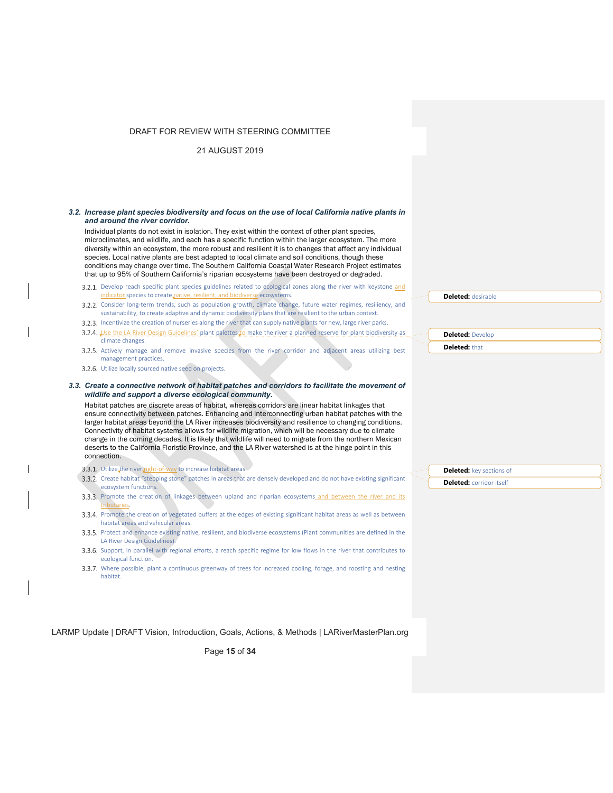21 AUGUST 2019

 $\mathsf{l}$ 

 $\overline{1}$ 

| 3.2. Increase plant species biodiversity and focus on the use of local California native plants in                                                                                                                                                                                                                                                                                                                                                                                                                                                                                                                             |                                 |  |
|--------------------------------------------------------------------------------------------------------------------------------------------------------------------------------------------------------------------------------------------------------------------------------------------------------------------------------------------------------------------------------------------------------------------------------------------------------------------------------------------------------------------------------------------------------------------------------------------------------------------------------|---------------------------------|--|
| and around the river corridor.                                                                                                                                                                                                                                                                                                                                                                                                                                                                                                                                                                                                 |                                 |  |
| Individual plants do not exist in isolation. They exist within the context of other plant species,<br>microclimates, and wildlife, and each has a specific function within the larger ecosystem. The more<br>diversity within an ecosystem, the more robust and resilient it is to changes that affect any individual<br>species. Local native plants are best adapted to local climate and soil conditions, though these<br>conditions may change over time. The Southern California Coastal Water Research Project estimates<br>that up to 95% of Southern California's riparian ecosystems have been destroyed or degraded. |                                 |  |
| 3.2.1. Develop reach specific plant species guidelines related to ecological zones along the river with keystone and<br>indicator species to create native, resilient, and biodiverse ecosystems.                                                                                                                                                                                                                                                                                                                                                                                                                              |                                 |  |
| 3.2.2. Consider long-term trends, such as population growth, climate change, future water regimes, resiliency, and<br>sustainability, to create adaptive and dynamic biodiversity plans that are resilient to the urban context.                                                                                                                                                                                                                                                                                                                                                                                               | <b>Deleted:</b> desirable       |  |
| 3.2.3. Incentivize the creation of nurseries along the river that can supply native plants for new, large river parks.                                                                                                                                                                                                                                                                                                                                                                                                                                                                                                         |                                 |  |
| 3.2.4. Use the LA River Design Guidelines' plant palettes to make the river a planned reserve for plant biodiversity as<br>climate changes.                                                                                                                                                                                                                                                                                                                                                                                                                                                                                    | <b>Deleted: Develop</b>         |  |
| 3.2.5. Actively manage and remove invasive species from the river corridor and adjacent areas utilizing best<br>management practices.                                                                                                                                                                                                                                                                                                                                                                                                                                                                                          | <b>Deleted: that</b>            |  |
| 3.2.6. Utilize locally sourced native seed on projects.                                                                                                                                                                                                                                                                                                                                                                                                                                                                                                                                                                        |                                 |  |
| ensure connectivity between patches. Enhancing and interconnecting urban habitat patches with the<br>larger habitat areas beyond the LA River increases biodiversity and resilience to changing conditions.<br>Connectivity of habitat systems allows for wildlife migration, which will be necessary due to climate<br>change in the coming decades. It is likely that wildlife will need to migrate from the northern Mexican<br>deserts to the California Floristic Province, and the LA River watershed is at the hinge point in this<br>connection.                                                                       |                                 |  |
| 3.3.1. Utilize the river right-of-way to increase habitat areas.                                                                                                                                                                                                                                                                                                                                                                                                                                                                                                                                                               | <b>Deleted:</b> key sections of |  |
| 3.3.2. Create habitat "stepping stone" patches in areas that are densely developed and do not have existing significant<br>ecosystem functions.                                                                                                                                                                                                                                                                                                                                                                                                                                                                                | <b>Deleted:</b> corridor itself |  |
| 3.3.3. Promote the creation of linkages between upland and riparian ecosystems and between the river and its<br>tributaries.                                                                                                                                                                                                                                                                                                                                                                                                                                                                                                   |                                 |  |
| 3.3.4. Promote the creation of vegetated buffers at the edges of existing significant habitat areas as well as between<br>habitat areas and vehicular areas.                                                                                                                                                                                                                                                                                                                                                                                                                                                                   |                                 |  |
| 3.3.5. Protect and enhance existing native, resilient, and biodiverse ecosystems (Plant communities are defined in the<br>LA River Design Guidelines).                                                                                                                                                                                                                                                                                                                                                                                                                                                                         |                                 |  |
| 3.3.6. Support, in parallel with regional efforts, a reach specific regime for low flows in the river that contributes to<br>ecological function.                                                                                                                                                                                                                                                                                                                                                                                                                                                                              |                                 |  |
| 3.3.7. Where possible, plant a continuous greenway of trees for increased cooling, forage, and roosting and nesting<br>habitat.                                                                                                                                                                                                                                                                                                                                                                                                                                                                                                |                                 |  |
|                                                                                                                                                                                                                                                                                                                                                                                                                                                                                                                                                                                                                                |                                 |  |

LARMP Update | DRAFT Vision, Introduction, Goals, Actions, & Methods | LARiverMasterPlan.org

Page **15** of **34**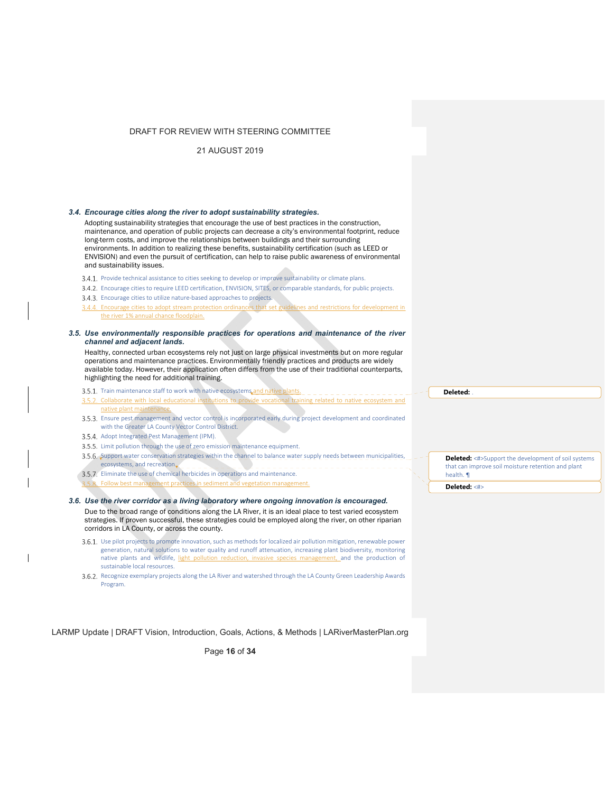21 AUGUST 2019

#### *3.4. Encourage cities along the river to adopt sustainability strategies.*

Adopting sustainability strategies that encourage the use of best practices in the construction, maintenance, and operation of public projects can decrease a city's environmental footprint, reduce long-term costs, and improve the relationships between buildings and their surrounding environments. In addition to realizing these benefits, sustainability certification (such as LEED or ENVISION) and even the pursuit of certification, can help to raise public awareness of environmental and sustainability issues.

- 3.4.1. Provide technical assistance to cities seeking to develop or improve sustainability or climate plans.
- Encourage cities to require LEED certification, ENVISION, SITES, or comparable standards, for public projects.
- 3.4.3. Encourage cities to utilize nature-based approaches to projects.

3.4.4. Encourage cities to adopt stream protection ordinances that set guidelines and restrictions for development in the river 1% annual chance floodplain.

*3.5. Use environmentally responsible practices for operations and maintenance of the river channel and adjacent lands.* 

Healthy, connected urban ecosystems rely not just on large physical investments but on more regular operations and maintenance practices. Environmentally friendly practices and products are widely available today. However, their application often differs from the use of their traditional counterparts, highlighting the need for additional training.

3.5.1. Train maintenance staff to work with native ecosystems and native plants.

- 3.5.2. Collaborate with local educational institutions to provide vocational training related to native ecosystem and native plant maintenance.
- Ensure pest management and vector control is incorporated early during project development and coordinated with the Greater LA County Vector Control District.
- 3.5.4. Adopt Integrated Pest Management (IPM).
- 3.5.5. Limit pollution through the use of zero emission maintenance equipment.
- 3.5.6. Support water conservation strategies within the channel to balance water supply needs between municipalities, ecosystems, and recreation.
- 3.5.7. Eliminate the use of chemical herbicides in operations and maintenance.
- 5.8. Follow best management practices in sediment and vegetation management.

*3.6. Use the river corridor as a living laboratory where ongoing innovation is encouraged.*  Due to the broad range of conditions along the LA River, it is an ideal place to test varied ecosystem strategies. If proven successful, these strategies could be employed along the river, on other riparian corridors in LA County, or across the county.

- 3.6.1. Use pilot projects to promote innovation, such as methods for localized air pollution mitigation, renewable power generation, natural solutions to water quality and runoff attenuation, increasing plant biodiversity, monitoring native plants and wildlife, light pollution reduction, invasive species management, and the production of native plants and wildlife, light pollution reduction, invasive species management, and the production of sustainable local resources.
- 3.6.2. Recognize exemplary projects along the LA River and watershed through the LA County Green Leadership Awards Program.

LARMP Update | DRAFT Vision, Introduction, Goals, Actions, & Methods | LARiverMasterPlan.org

Page **16** of **34**

**Deleted:** .

**Deleted:** <#>Support the development of soil systems that can improve soil moisture retention and plant health. ¶

**Deleted:** <#>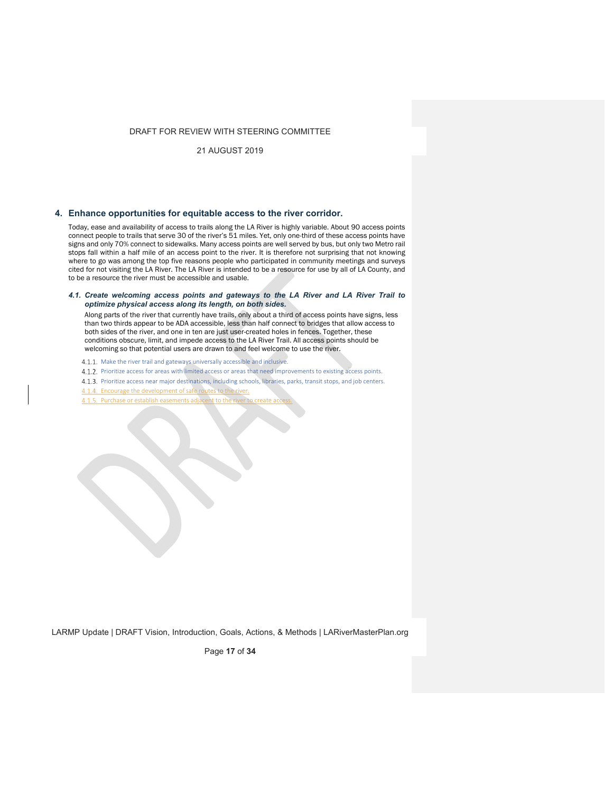21 AUGUST 2019

## **4. Enhance opportunities for equitable access to the river corridor.**

Today, ease and availability of access to trails along the LA River is highly variable. About 90 access points connect people to trails that serve 30 of the river's 51 miles. Yet, only one-third of these access points have signs and only 70% connect to sidewalks. Many access points are well served by bus, but only two Metro rail stops fall within a half mile of an access point to the river. It is therefore not surprising that not knowing where to go was among the top five reasons people who participated in community meetings and surveys cited for not visiting the LA River. The LA River is intended to be a resource for use by all of LA County, and to be a resource the river must be accessible and usable.

#### *4.1. Create welcoming access points and gateways to the LA River and LA River Trail to optimize physical access along its length, on both sides.*

Along parts of the river that currently have trails, only about a third of access points have signs, less than two thirds appear to be ADA accessible, less than half connect to bridges that allow access to both sides of the river, and one in ten are just user-created holes in fences. Together, these conditions obscure, limit, and impede access to the LA River Trail. All access points should be welcoming so that potential users are drawn to and feel welcome to use the river.

4.1.1. Make the river trail and gateways universally accessible and inclusive.

4.1.2. Prioritize access for areas with limited access or areas that need improvements to existing access points.

4.1.3. Prioritize access near major destinations, including schools, libraries, parks, transit stops, and job centers.

4.1.4. Encourage the development of safe routes to the river.

4.1.5. Purchase or establish easements adjacent to the river to create ac

LARMP Update | DRAFT Vision, Introduction, Goals, Actions, & Methods | LARiverMasterPlan.org

Page **17** of **34**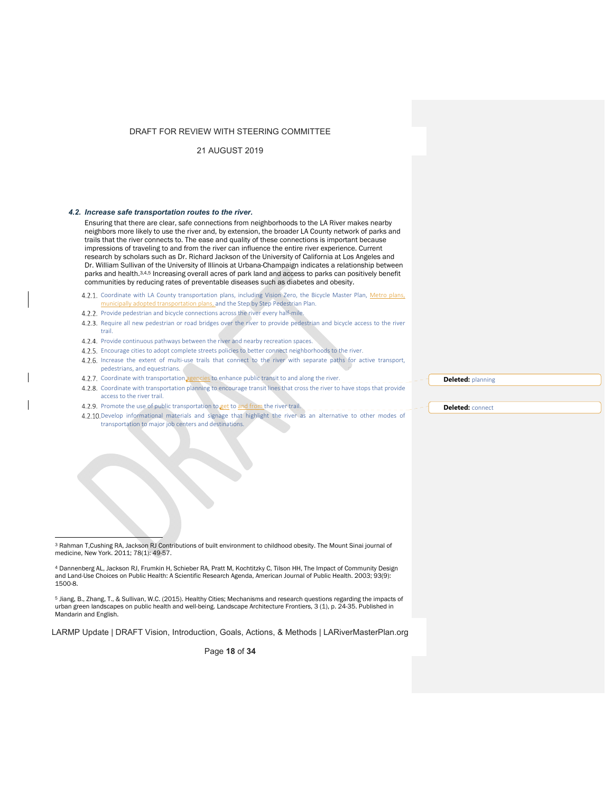21 AUGUST 2019

#### *4.2. Increase safe transportation routes to the river.*

Ensuring that there are clear, safe connections from neighborhoods to the LA River makes nearby neighbors more likely to use the river and, by extension, the broader LA County network of parks and trails that the river connects to. The ease and quality of these connections is important because impressions of traveling to and from the river can influence the entire river experience. Current research by scholars such as Dr. Richard Jackson of the University of California at Los Angeles and Dr. William Sullivan of the University of Illinois at Urbana-Champaign indicates a relationship between parks and health.3,4,5 Increasing overall acres of park land and access to parks can positively benefit communities by reducing rates of preventable diseases such as diabetes and obesity.

4.2.1. Coordinate with LA County transportation plans, including Vision Zero, the Bicycle Master Plan, Metro plans, municipally adopted transportation plans, and the Step by Step Pedestrian Plan.

- 4.2.2. Provide pedestrian and bicycle connections across the river every half-mile.
- 4.2.3. Require all new pedestrian or road bridges over the river to provide pedestrian and bicycle access to the river trail.
- 4.2.4. Provide continuous pathways between the river and nearby recreation spaces.
- 4.2.5. Encourage cities to adopt complete streets policies to better connect neighborhoods to the river. 4.2.6. Increase the extent of multi-use trails that connect to the river with separate paths for active transport,
- pedestrians, and equestrians.
- 4.2.7. Coordinate with transportation agencies to enhance public transit to and along the river.
- 4.2.8. Coordinate with transportation planning to encourage transit lines that cross the river to have stops that provide access to the river trail.
- Promote the use of public transportation to get to and from the river trail. Develop informational materials and signage that highlight the river as an alternative to other modes of transportation to major job centers and destinations.

5 Jiang, B., Zhang, T., & Sullivan, W.C. (2015). Healthy Cities; Mechanisms and research questions regarding the impacts of urban green landscapes on public health and well-being. Landscape Architecture Frontiers, 3 (1), p. 24-35. Published in Mandarin and English.

LARMP Update | DRAFT Vision, Introduction, Goals, Actions, & Methods | LARiverMasterPlan.org

Page **18** of **34**

**Deleted:** planning

**Deleted:** connect

 3 Rahman T,Cushing RA, Jackson RJ Contributions of built environment to childhood obesity. The Mount Sinai journal of medicine, New York. 2011; 78(1): 49-57.

<sup>4</sup> Dannenberg AL, Jackson RJ, Frumkin H, Schieber RA, Pratt M, Kochtitzky C, Tilson HH, The Impact of Community Design and Land-Use Choices on Public Health: A Scientific Research Agenda, American Journal of Public Health. 2003; 93(9): 1500-8.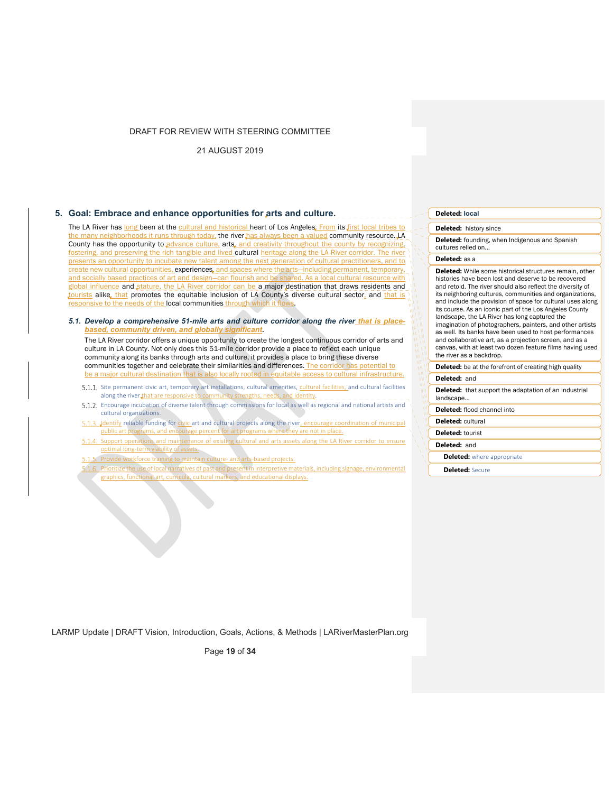21 AUGUST 2019

# **5. Goal: Embrace and enhance opportunities for arts and culture.**

The LA River has long been at the cultural and historical heart of Los Angeles. From its first local tribes to the many neighborhoods it runs through today, the river has always been a valued community resource. LA County has the opportunity to advance culture, arts, and creativity throughout the county by reco fostering, and preserving the rich tangible and lived cultural heritage along the LA River corridor. The river presents an opportunity to incubate new talent among the next generation of cultural practitioners, and to create new cultural opportunities, experiences, and spaces where the arts—including permanent, temporary, and socially based practices of art and design—can flourish and be shared. As a local cultural resource with global influence and stature, the LA River corridor can be a major destination that draws residents and tourists alike, that promotes the equitable inclusion of LA County's diverse cultural sector, and that is responsive to the needs of the local communities through

*5.1. Develop a comprehensive 51-mile arts and culture corridor along the river that is placebased, community driven, and globally significant.* 

The LA River corridor offers a unique opportunity to create the longest continuous corridor of arts and culture in LA County. Not only does this 51-mile corridor provide a place to reflect each unique community along its banks through arts and culture, it provides a place to bring these diverse communities together and celebrate their similarities and differences. The corridor has potential to be a major cultural destination that is also locally rooted in equitable access to cultural infrastructure.

- 5.1.1. Site permanent civic art, temporary art installations, cultural amenities, cultural facilities, and cultural facilities along the river that are responsive to community strengths, needs, and identity.
- Encourage incubation of diverse talent through commissions for local as well as regional and national artists and cultural organizations.
- 5.1.3. Identify reliable funding for civic art and cultural projects along the river, encourage coordination of municipal public art programs, and encourage percent for art programs where they are not in place.
- 5.1.4. Support operations and maintenance of existing cultural and arts assets along the LA River corridor to ensure optimal long‐term viability of assets.
- 5.1.5. Provide workforce training to maintain culture- and arts-based projects.
- 5.1.6. Prioritize the use of local narratives of past and present in interpretive materials, including signage, environmental graphics, functional art, curricula, cultural markers, and educational displays.

#### **Deleted: local**

**Deleted:** history since

**Deleted:** founding, when Indigenous and Spanish cultures relied on…

**Deleted:** as a

**Deleted:** While some historical structures remain, other histories have been lost and deserve to be recovered and retold. The river should also reflect the diversity of its neighboring cultures, communities and organizations, and include the provision of space for cultural uses along its course. As an iconic part of the Los Angeles County landscape, the LA River has long captured the imagination of photographers, painters, and other artists as well. Its banks have been used to host performances and collaborative art, as a projection screen, and as a canvas, with at least two dozen feature films having used the river as a backdrop.

**Deleted:** be at the forefront of creating high quality **Deleted:** and

**Deleted:** that support the adaptation of an industrial landscape…

**Deleted:** flood channel into

**Deleted:** cultural

**Deleted:** tourist

**Deleted:** and

**Deleted:** where appropriate

**Deleted:** Secure

LARMP Update | DRAFT Vision, Introduction, Goals, Actions, & Methods | LARiverMasterPlan.org

Page **19** of **34**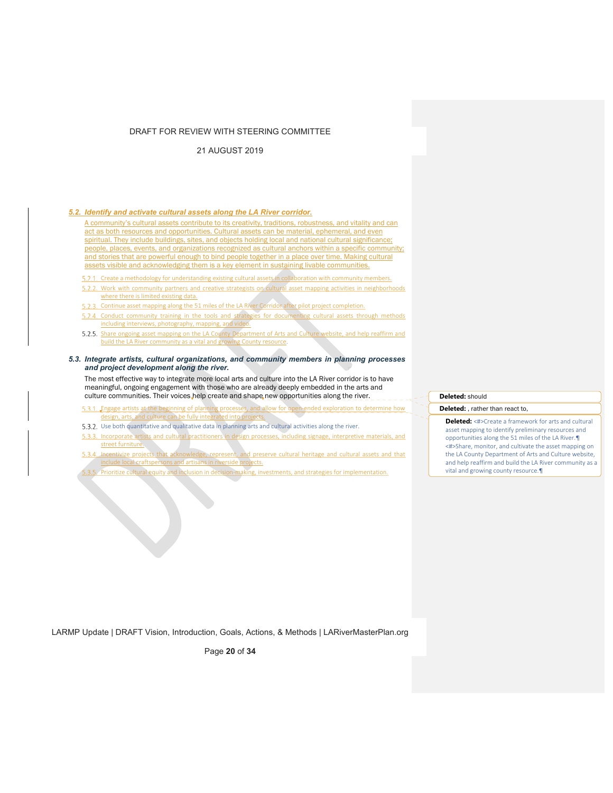21 AUGUST 2019

## *5.2. Identify and activate cultural assets along the LA River corridor.*

A community's cultural assets contribute to its creativity, traditions, robustness, and vitality and can act as both resources and opportunities. Cultural assets can be material, ephemeral, and even spiritual. They include buildings, sites, and objects holding local and national cultural significance; people, places, events, and organizations recognized as cultural anchors within a specific community; and stories that are powerful enough to bind people together in a place over time. Making cultural assets visible and acknowledging them is a key element in sustaining livable communities.

5.2.1. Create a methodology for understanding existing cultural assets in collaboration with community members. 5.2.2. Work with community partners and creative strategists on cultural asset mapping activities in neighborhoods where there is limited existing data.

- 5.2.3. Continue asset mapping along the 51 miles of the LA River Corridor after pilot project completion.
- 5.2.4. Conduct community training in the tools and strategies for documenting cultural assets through methods including interviews, photography, mapping, and video.
- 5.2.5. Share ongoing asset mapping on the LA County Department of Arts and Culture website, and help reaffirm and build the LA River community as a vital and growing County resource.

#### *5.3. Integrate artists, cultural organizations, and community members in planning processes and project development along the river.*

The most effective way to integrate more local arts and culture into the LA River corridor is to have meaningful, ongoing engagement with those who are already deeply embedded in the arts and culture communities. Their voices help create and shape new opportunities along the river.

E.3.1. Engage artists at the beginning of planning processes, and allow for open-ended exploration to determine how design, arts, and culture can be fully integrated into projects.

- 5.3.2. Use both quantitative and qualitative data in planning arts and cultural activities along the river.
- 5.3.3. Incorporate artists and cultural practitioners in design processes, including signage, interpretive materials, and street furniture.
- Incentivize projects that acknowledge, represent, and preserve cultural heritage and cultural assets and that include local craftspersons and artisans in riverside projects.
- 3.5. Prioritize cultural equity and inclusion in decision-making, investments, and strategies for implementation.

# **Deleted:** should

**Deleted:** , rather than react to,

**Deleted:** <#>Create a framework for arts and cultural asset mapping to identify preliminary resources and opportunities along the 51 miles of the LA River.¶ <#>Share, monitor, and cultivate the asset mapping on the LA County Department of Arts and Culture website, and help reaffirm and build the LA River community as a vital and growing county resource.¶

LARMP Update | DRAFT Vision, Introduction, Goals, Actions, & Methods | LARiverMasterPlan.org

Page **20** of **34**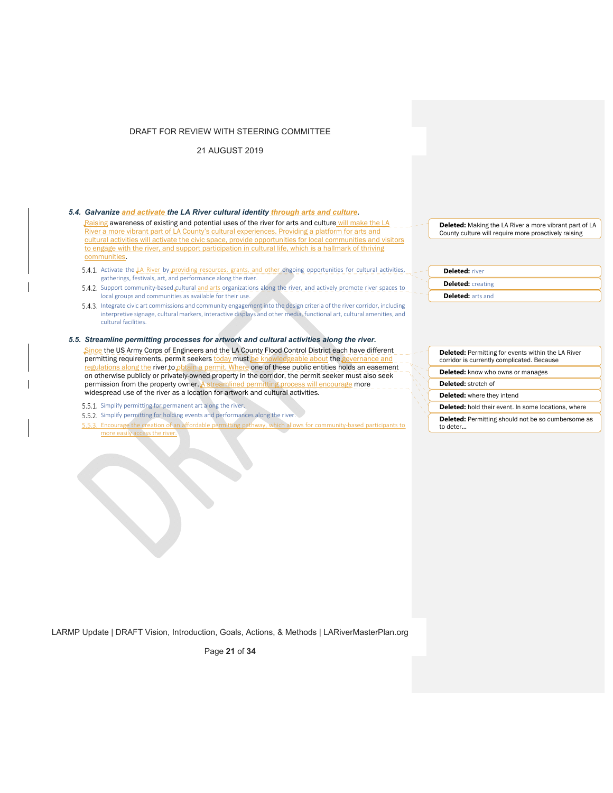21 AUGUST 2019

| 5.4. Galvanize and activate the LA River cultural identity through arts and culture. |  |  |  |  |
|--------------------------------------------------------------------------------------|--|--|--|--|
|                                                                                      |  |  |  |  |

Raising awareness of existing and potential uses of the river for arts and culture will make the LA River a more vibrant part of LA County's cultural experiences. Providing a platform for arts and cultural activities will activate the civic space, provide opportunities for local communities and visitors to engage with the river, and support participation in cultural life, which is a hallmark of thriving communities.

- Activate the LA River by providing resources, grants, and other ongoing opportunities for cultural activities, gatherings, festivals, art, and performance along the river.
- 5.4.2. Support community‐based cultural and arts organizations along the river, and actively promote river spaces to ocal groups and communities as available for their use.
- 5.4.3. Integrate civic art commissions and community engagement into the design criteria of the river corridor, including interpretive signage, cultural markers, interactive displays and other media, functional art, cultural amenities, and cultural facilities.

## *5.5. Streamline permitting processes for artwork and cultural activities along the river.*

Since the US Army Corps of Engineers and the LA County Flood Control District each have different permitting requirements, permit seekers today must be knowledgeable about the regulations along the river to obtain a permit. Where one of these public entities holds an easement on otherwise publicly or privately-owned property in the corridor, the permit seeker must also seek<br>permission from the property owner. A streamlined permitting process will encourage more amlined permitting process will encourage more widespread use of the river as a location for artwork and cultural activities.

- 5.5.1. Simplify permitting for permanent art along the river.
- 5.5.2. Simplify permitting for holding events and performances along the river.
- 5.5.3. Encourage the creation of an affordable permitting pathway, which allows for community-based participants to more easily access the river.

**Deleted:** Making the LA River a more vibrant part of LA County culture will require more proactively raising

**Deleted:** river **Deleted:** creating **Deleted:** arts and

**Deleted:** Permitting for events within the LA River corridor is currently complicated. Because

**Deleted:** know who owns or manages

**Deleted:** stretch of

**Deleted:** where they intend

**Deleted:** hold their event. In some locations, where **Deleted:** Permitting should not be so cumbersome as

to deter…

LARMP Update | DRAFT Vision, Introduction, Goals, Actions, & Methods | LARiverMasterPlan.org

Page **21** of **34**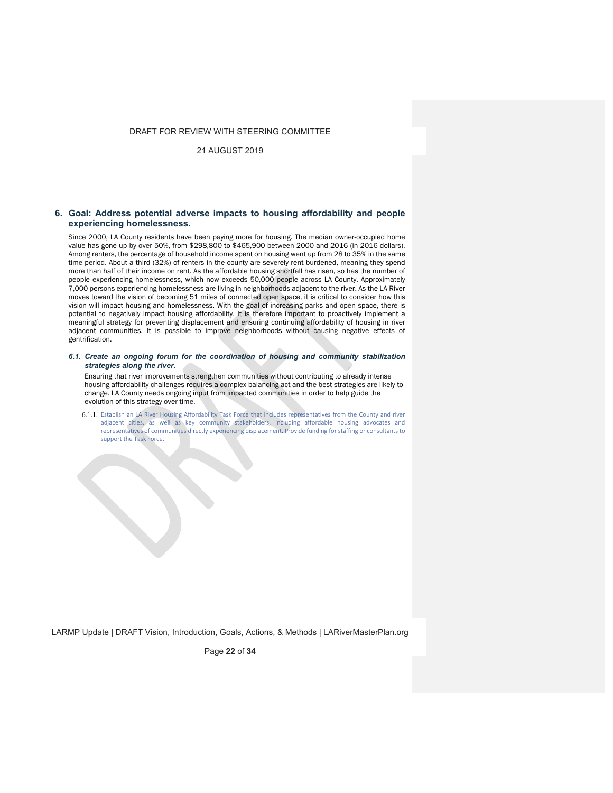21 AUGUST 2019

## **6. Goal: Address potential adverse impacts to housing affordability and people experiencing homelessness.**

Since 2000, LA County residents have been paying more for housing. The median owner-occupied home value has gone up by over 50%, from \$298,800 to \$465,900 between 2000 and 2016 (in 2016 dollars). Among renters, the percentage of household income spent on housing went up from 28 to 35% in the same time period. About a third (32%) of renters in the county are severely rent burdened, meaning they spend more than half of their income on rent. As the affordable housing shortfall has risen, so has the number of people experiencing homelessness, which now exceeds 50,000 people across LA County. Approximately 7,000 persons experiencing homelessness are living in neighborhoods adjacent to the river. As the LA River moves toward the vision of becoming 51 miles of connected open space, it is critical to consider how this vision will impact housing and homelessness. With the goal of increasing parks and open space, there is potential to negatively impact housing affordability. It is therefore important to proactively implement a meaningful strategy for preventing displacement and ensuring continuing affordability of housing in river adjacent communities. It is possible to improve neighborhoods without causing negative effects of gentrification.

*6.1. Create an ongoing forum for the coordination of housing and community stabilization strategies along the river.* 

Ensuring that river improvements strengthen communities without contributing to already intense housing affordability challenges requires a complex balancing act and the best strategies are likely to change. LA County needs ongoing input from impacted communities in order to help guide the evolution of this strategy over time.

6.1.1. Establish an LA River Housing Affordability Task Force that includes representatives from the County and river adjacent cities, as well as key community stakeholders, including affordable housing advocates and representatives of communities directly experiencing displacement. Provide funding for staffing or consultants to support the Task Force.

LARMP Update | DRAFT Vision, Introduction, Goals, Actions, & Methods | LARiverMasterPlan.org

Page **22** of **34**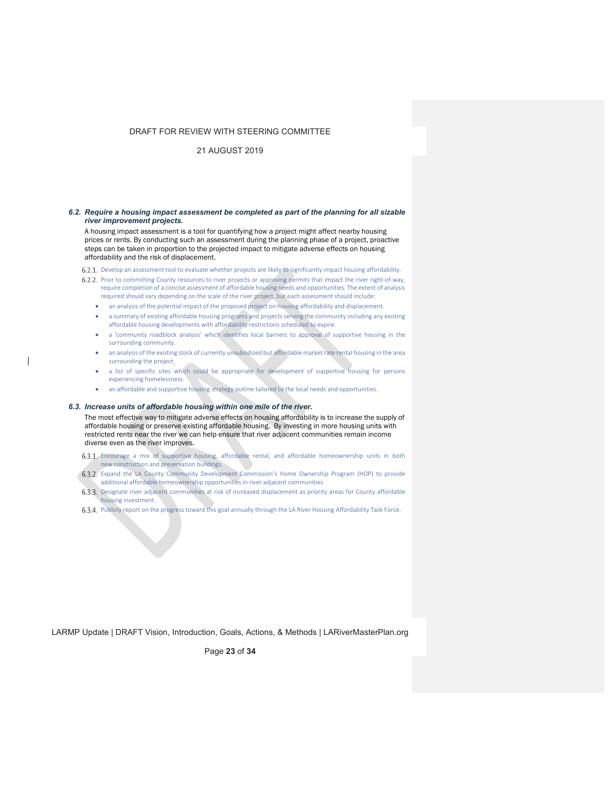## 21 AUGUST 2019

#### *6.2. Require a housing impact assessment be completed as part of the planning for all sizable river improvement projects.*

A housing impact assessment is a tool for quantifying how a project might affect nearby housing prices or rents. By conducting such an assessment during the planning phase of a project, proactive steps can be taken in proportion to the projected impact to mitigate adverse effects on housing affordability and the risk of displacement.

6.2.1. Develop an assessment tool to evaluate whether projects are likely to significantly impact housing affordability.

- 6.2.2. Prior to committing County resources to river projects or approving permits that impact the river right-of-way, require completion of a concise assessment of affordable housing needs and opportunities. The extent of analysis required should vary depending on the scale of the river project, but each assessment should include:
	- an analysis of the potential impact of the proposed project on housing affordability and displacement.
	- a summary of existing affordable housing programs and projects serving the community including any existing affordable housing developments with affordability restrictions scheduled to expire.
	- a 'community roadblock analysis' which identifies local barriers to approval of supportive housing in the surrounding community.
	- an analysis of the existing stock of currently unsubsidized but affordable market rate rental housing in the area surrounding the project.
	- a list of specific sites which could be appropriate for development of supportive housing for persons experiencing homelessness.
	- an affordable and supportive housing strategy outline tailored to the local needs and opportunities.

#### *6.3. Increase units of affordable housing within one mile of the river.*

The most effective way to mitigate adverse effects on housing affordability is to increase the supply of affordable housing or preserve existing affordable housing. By investing in more housing units with restricted rents near the river we can help ensure that river adjacent communities remain income diverse even as the river improves.

- Encourage a mix of supportive housing, affordable rental, and affordable homeownership units in both new construction and preservation buildings.
- 6.3.2. Expand the LA County Community Development Commission's Home Ownership Program (HOP) to provide additional affordable homeownership opportunities in river adjacent communities.
- 6.3.3. Designate river adjacent communities at risk of increased displacement as priority areas for County affordable housing investment.
- 6.3.4. Publicly report on the progress toward this goal annually through the LA River Housing Affordability Task Force.

LARMP Update | DRAFT Vision, Introduction, Goals, Actions, & Methods | LARiverMasterPlan.org

Page **23** of **34**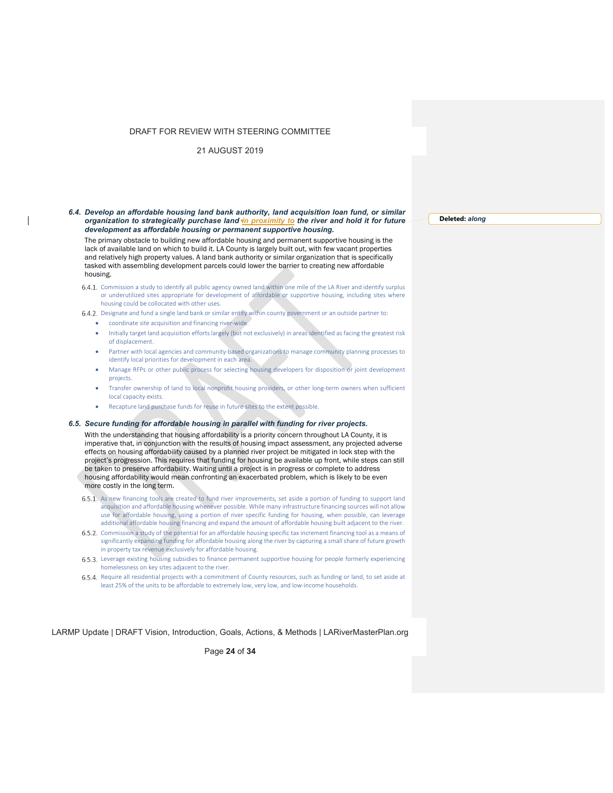21 AUGUST 2019

#### *6.4. Develop an affordable housing land bank authority, land acquisition loan fund, or similar organization to strategically purchase land in proximity to the river and hold it for future development as affordable housing or permanent supportive housing.*

The primary obstacle to building new affordable housing and permanent supportive housing is the lack of available land on which to build it. LA County is largely built out, with few vacant properties and relatively high property values. A land bank authority or similar organization that is specifically tasked with assembling development parcels could lower the barrier to creating new affordable housing.

- 6.4.1. Commission a study to identify all public agency owned land within one mile of the LA River and identify surplus or underutilized sites appropriate for development of affordable or supportive housing, including sites where housing could be collocated with other uses.
- 6.4.2. Designate and fund a single land bank or similar entity within county government or an outside partner to:
	- coordinate site acquisition and financing river‐wide.
	- Initially target land acquisition efforts largely (but not exclusively) in areas identified as facing the greatest risk of displacement.
	- Partner with local agencies and community‐based organizations to manage community planning processes to identify local priorities for development in each area.
	- Manage RFPs or other public process for selecting housing developers for disposition or joint development projects.
	- Transfer ownership of land to local nonprofit housing providers, or other long‐term owners when sufficient local capacity exists.
	- Recapture land purchase funds for reuse in future sites to the extent possible.

## *6.5. Secure funding for affordable housing in parallel with funding for river projects.*

With the understanding that housing affordability is a priority concern throughout LA County, it is imperative that, in conjunction with the results of housing impact assessment, any projected adverse effects on housing affordability caused by a planned river project be mitigated in lock step with the project's progression. This requires that funding for housing be available up front, while steps can still be taken to preserve affordability. Waiting until a project is in progress or complete to address housing affordability would mean confronting an exacerbated problem, which is likely to be even more costly in the long term.

- 6.5.1. As new financing tools are created to fund river improvements, set aside a portion of funding to support land acquisition and affordable housing whenever possible. While many infrastructure financing sources will not allow use for affordable housing, using a portion of river specific funding for housing, when possible, can leverage additional affordable housing financing and expand the amount of affordable housing built adjacent to the river.
- 6.5.2. Commission a study of the potential for an affordable housing specific tax increment financing tool as a means of significantly expanding funding for affordable housing along the river by capturing a small share of future growth in property tax revenue exclusively for affordable housing.
- Leverage existing housing subsidies to finance permanent supportive housing for people formerly experiencing homelessness on key sites adjacent to the river.
- 6.5.4. Require all residential projects with a commitment of County resources, such as funding or land, to set aside at least 25% of the units to be affordable to extremely low, very low, and low‐income households.

LARMP Update | DRAFT Vision, Introduction, Goals, Actions, & Methods | LARiverMasterPlan.org

Page **24** of **34**

**Deleted:** *along*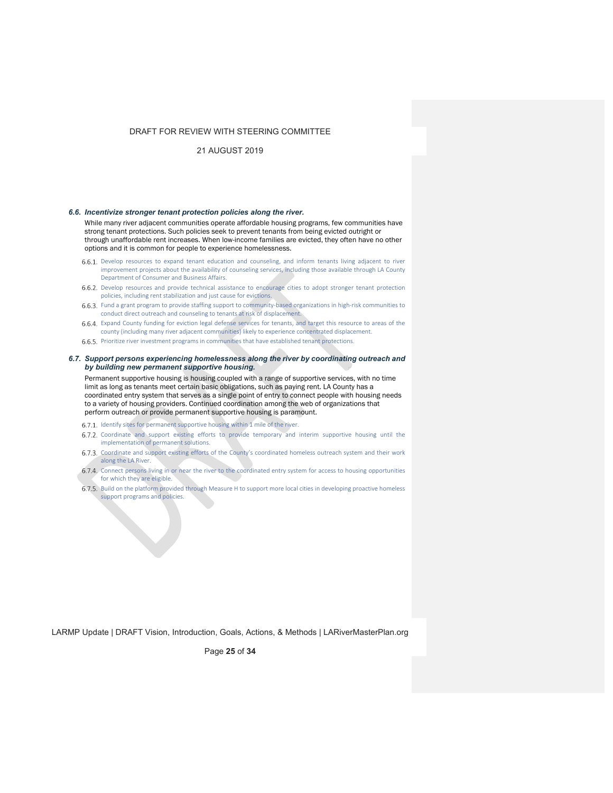## 21 AUGUST 2019

#### *6.6. Incentivize stronger tenant protection policies along the river.*

While many river adjacent communities operate affordable housing programs, few communities have strong tenant protections. Such policies seek to prevent tenants from being evicted outright or through unaffordable rent increases. When low-income families are evicted, they often have no other options and it is common for people to experience homelessness.

- 6.6.1. Develop resources to expand tenant education and counseling, and inform tenants living adjacent to river improvement projects about the availability of counseling services, including those available through LA County Department of Consumer and Business Affairs.
- 6.6.2. Develop resources and provide technical assistance to encourage cities to adopt stronger tenant protection policies, including rent stabilization and just cause for evictions.
- Fund a grant program to provide staffing support to community‐based organizations in high‐risk communities to conduct direct outreach and counseling to tenants at risk of displacement.
- 6.6.4. Expand County funding for eviction legal defense services for tenants, and target this resource to areas of the county (including many river adjacent communities) likely to experience concentrated displacement.
- 6.6.5. Prioritize river investment programs in communities that have established tenant protections.

#### *6.7. Support persons experiencing homelessness along the river by coordinating outreach and by building new permanent supportive housing.*

Permanent supportive housing is housing coupled with a range of supportive services, with no time limit as long as tenants meet certain basic obligations, such as paying rent. LA County has a coordinated entry system that serves as a single point of entry to connect people with housing needs to a variety of housing providers. Continued coordination among the web of organizations that perform outreach or provide permanent supportive housing is paramount.

- 6.7.1. Identify sites for permanent supportive housing within 1 mile of the river.
- 6.7.2. Coordinate and support existing efforts to provide temporary and interim supportive housing until the implementation of permanent solutions.
- 6.7.3. Coordinate and support existing efforts of the County's coordinated homeless outreach system and their work along the LA River.
- 6.7.4. Connect persons living in or near the river to the coordinated entry system for access to housing opportunities for which they are eligible
- 6.7.5. Build on the platform provided through Measure H to support more local cities in developing proactive homeless support programs and policies.

LARMP Update | DRAFT Vision, Introduction, Goals, Actions, & Methods | LARiverMasterPlan.org

Page **25** of **34**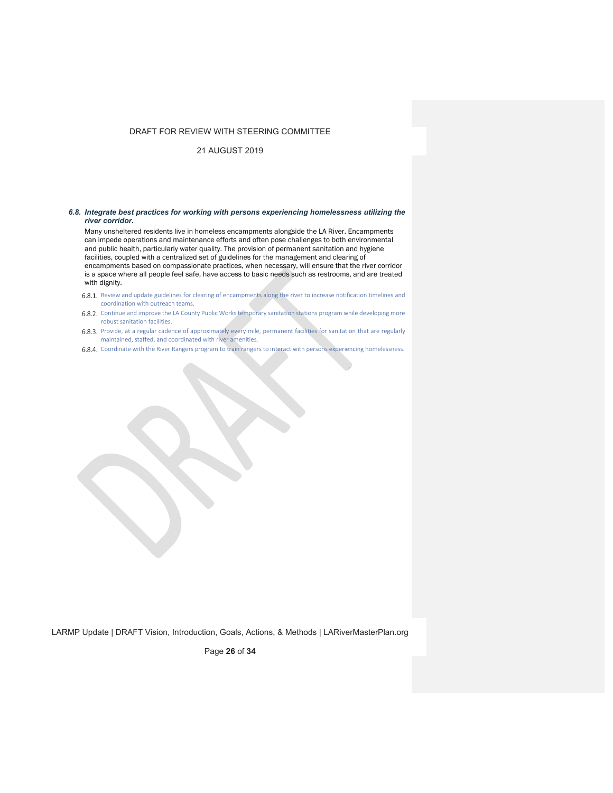21 AUGUST 2019

#### *6.8. Integrate best practices for working with persons experiencing homelessness utilizing the river corridor.*

Many unsheltered residents live in homeless encampments alongside the LA River. Encampments can impede operations and maintenance efforts and often pose challenges to both environmental and public health, particularly water quality. The provision of permanent sanitation and hygiene facilities, coupled with a centralized set of guidelines for the management and clearing of encampments based on compassionate practices, when necessary, will ensure that the river corridor is a space where all people feel safe, have access to basic needs such as restrooms, and are treated with dignity.

- 6.8.1. Review and update guidelines for clearing of encampments along the river to increase notification timelines and coordination with outreach teams.
- 6.8.2. Continue and improve the LA County Public Works temporary sanitation stations program while developing more robust sanitation facilities.
- 6.8.3. Provide, at a regular cadence of approximately every mile, permanent facilities for sanitation that are regularly maintained, staffed, and coordinated with river amenities.
- 6.8.4. Coordinate with the River Rangers program to train rangers to interact with persons experiencing homelessness.

LARMP Update | DRAFT Vision, Introduction, Goals, Actions, & Methods | LARiverMasterPlan.org

Page **26** of **34**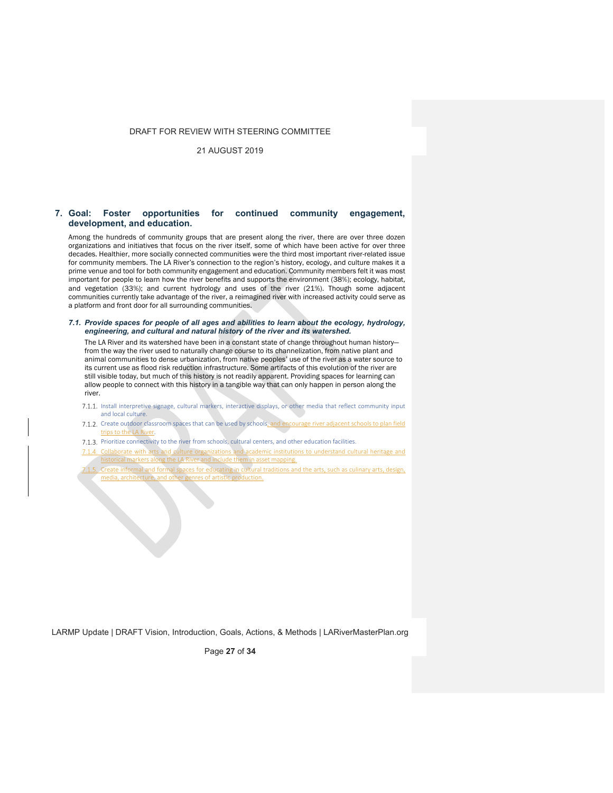21 AUGUST 2019

## **7. Goal: Foster opportunities for continued community engagement, development, and education.**

Among the hundreds of community groups that are present along the river, there are over three dozen organizations and initiatives that focus on the river itself, some of which have been active for over three decades. Healthier, more socially connected communities were the third most important river-related issue for community members. The LA River's connection to the region's history, ecology, and culture makes it a prime venue and tool for both community engagement and education. Community members felt it was most important for people to learn how the river benefits and supports the environment (38%); ecology, habitat, and vegetation (33%); and current hydrology and uses of the river (21%). Though some adjacent communities currently take advantage of the river, a reimagined river with increased activity could serve as a platform and front door for all surrounding communities.

#### *7.1. Provide spaces for people of all ages and abilities to learn about the ecology, hydrology, engineering, and cultural and natural history of the river and its watershed.*

The LA River and its watershed have been in a constant state of change throughout human history from the way the river used to naturally change course to its channelization, from native plant and animal communities to dense urbanization, from native peoples' use of the river as a water source to its current use as flood risk reduction infrastructure. Some artifacts of this evolution of the river are still visible today, but much of this history is not readily apparent. Providing spaces for learning can allow people to connect with this history in a tangible way that can only happen in person along the river.

- 7.1.1. Install interpretive signage, cultural markers, interactive displays, or other media that reflect community input and local culture.
- 7.1.2. Create outdoor classroom spaces that can be used by schools, and encourage river adjacent schools to plan field trips to the LA River.
- 7.1.3. Prioritize connectivity to the river from schools, cultural centers, and other education facilities.
- 7.1.4. Collaborate with arts and culture organizations and academic institutions to understand cultural heritage and I markers along the LA River and include them in asset mapping.
- Create informal and formal spaces for educating in cultural traditions and the arts, such as culinary arts, design, media, architecture, and other genres of artistic production.

LARMP Update | DRAFT Vision, Introduction, Goals, Actions, & Methods | LARiverMasterPlan.org

Page **27** of **34**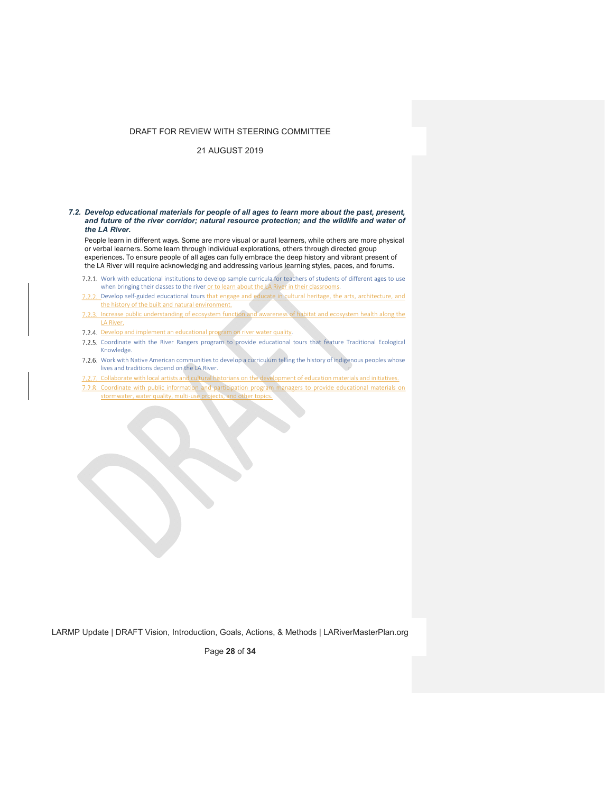21 AUGUST 2019

#### *7.2. Develop educational materials for people of all ages to learn more about the past, present, and future of the river corridor; natural resource protection; and the wildlife and water of the LA River.*

People learn in different ways. Some are more visual or aural learners, while others are more physical or verbal learners. Some learn through individual explorations, others through directed group experiences. To ensure people of all ages can fully embrace the deep history and vibrant present of the LA River will require acknowledging and addressing various learning styles, paces, and forums.

- 7.2.1. Work with educational institutions to develop sample curricula for teachers of students of different ages to use when bringing their classes to the river or to learn about the LA River in their classrooms.
- 7.2.2. Develop self-guided educational tours that engage and educate in cultural heritage, the arts, architecture, and the history of the built and natural environment.
- 7.2.3. Increase public understanding of ecosystem function and awareness of habitat and ecosystem health along the LA River.
- 7.2.4. Develop and implement an educational program on river water quality.
- Coordinate with the River Rangers program to provide educational tours that feature Traditional Ecological Knowledge.
- 7.2.6. Work with Native American communities to develop a curriculum telling the history of indigenous peoples whose lives and traditions depend on the LA River.
- 7.2.7. Collaborate with local artists and cultural historians on the development of education materials and initiatives.
- 7.2.8. Coordinate with public information and participation program managers to provide educational materials on stormwater, water quality, multi‐use projects, and other topics.

LARMP Update | DRAFT Vision, Introduction, Goals, Actions, & Methods | LARiverMasterPlan.org

Page **28** of **34**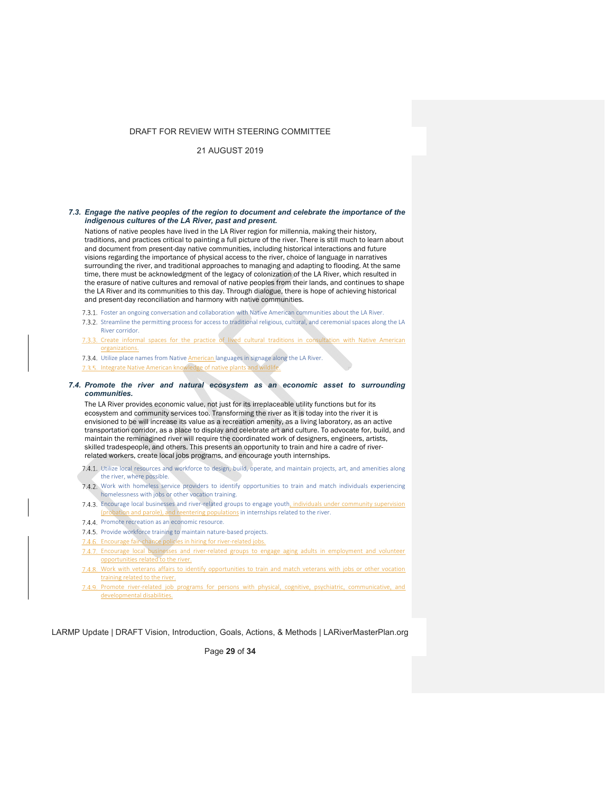## 21 AUGUST 2019

#### *7.3. Engage the native peoples of the region to document and celebrate the importance of the indigenous cultures of the LA River, past and present.*

Nations of native peoples have lived in the LA River region for millennia, making their history, traditions, and practices critical to painting a full picture of the river. There is still much to learn about and document from present-day native communities, including historical interactions and future visions regarding the importance of physical access to the river, choice of language in narratives surrounding the river, and traditional approaches to managing and adapting to flooding. At the same time, there must be acknowledgment of the legacy of colonization of the LA River, which resulted in the erasure of native cultures and removal of native peoples from their lands, and continues to shape the LA River and its communities to this day. Through dialogue, there is hope of achieving historical and present-day reconciliation and harmony with native communities.

- Foster an ongoing conversation and collaboration with Native American communities about the LA River.
- 7.3.2. Streamline the permitting process for access to traditional religious, cultural, and ceremonial spaces along the LA River corridor.
- 7.3.3. Create informal spaces for the practice of lived cultural traditions in consultation with Native American organizations.

7.3.4. Utilize place names from Native **American** languages in signage along the LA River. 7.3.5. Integrate Native American knowledge of native plants and wildlife.

#### *7.4. Promote the river and natural ecosystem as an economic asset to surrounding communities.*

The LA River provides economic value, not just for its irreplaceable utility functions but for its ecosystem and community services too. Transforming the river as it is today into the river it is envisioned to be will increase its value as a recreation amenity, as a living laboratory, as an active transportation corridor, as a place to display and celebrate art and culture. To advocate for, build, and maintain the reminagined river will require the coordinated work of designers, engineers, artists, skilled tradespeople, and others. This presents an opportunity to train and hire a cadre of riverrelated workers, create local jobs programs, and encourage youth internships.

- 7.4.1. Utilize local resources and workforce to design, build, operate, and maintain projects, art, and amenities along the river, where possible.
- 7.4.2. Work with homeless service providers to identify opportunities to train and match individuals experiencing homelessness with jobs or other vocation training.
- 7.4.3. Encourage local businesses and river-related groups to engage youth, individuals under community supervision (probation and parole), and reentering populations in internships related to the river.
- 7.4.4. Promote recreation as an economic resource.
- 7.4.5. Provide workforce training to maintain nature-based projects.
- 7.4.6. Encourage fair-chance policies in hiring for river-related jobs.
- 7.4.7. Encourage local businesses and river-related groups to engage aging adults in employment and volunteer opportunities related to the river.
- 7.4.8. Work with veterans affairs to identify opportunities to train and match veterans with jobs or other vocation training related to the river.
- 7.4.9. Promote river-related job programs for persons with physical, cognitive, psychiatric, communicative, and developmental disabilities.

LARMP Update | DRAFT Vision, Introduction, Goals, Actions, & Methods | LARiverMasterPlan.org

Page **29** of **34**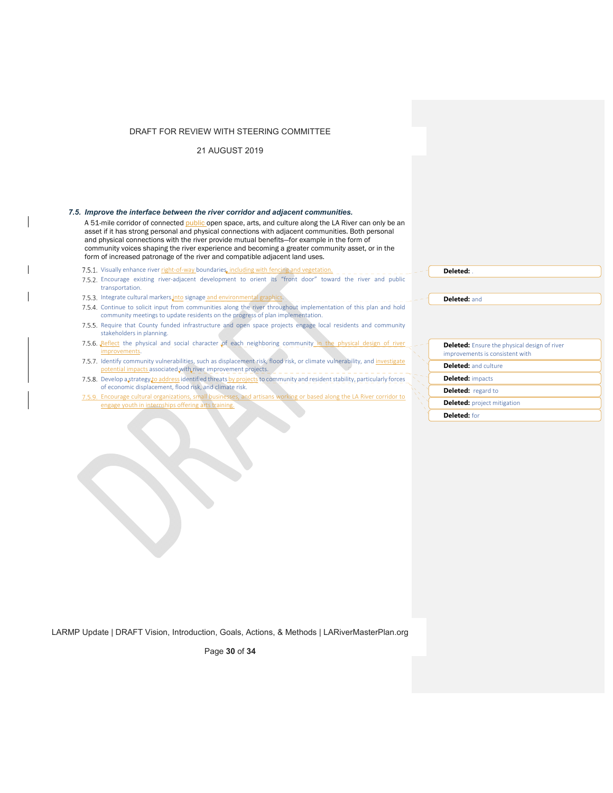21 AUGUST 2019

#### *7.5. Improve the interface between the river corridor and adjacent communities.*

A 51-mile corridor of connected public open space, arts, and culture along the LA River can only be an asset if it has strong personal and physical connections with adjacent communities. Both personal and physical connections with the river provide mutual benefits—for example in the form of community voices shaping the river experience and becoming a greater community asset, or in the form of increased patronage of the river and compatible adjacent land uses.

- 7.5.1. Visually enhance river right-of-way boundaries, including with fencing and vegetation.
- Encourage existing river‐adjacent development to orient its "front door" toward the river and public transportation.
- 7.5.3. Integrate cultural markers into signage and environmental graphics.
- 7.5.4. Continue to solicit input from communities along the river throughout implementation of this plan and hold community meetings to update residents on the progress of plan implementation.
- 7.5.5. Require that County funded infrastructure and open space projects engage local residents and community stakeholders in planning.
- 7.5.6. Reflect the physical and social character of each neighboring community in the physical design of river improvements.
- 7.5.7. Identify community vulnerabilities, such as displacement risk, flood risk, or climate vulnerability, and investigate potential impacts associated with river improvement projects.
- 7.5.8. Develop a strategy to address identified threats by projects to community and resident stability, particularly forces of economic displacement, flood risk, and climate risk.
- 7.5.9. Encourage cultural organizations, small businesses, and artisans working or based along the LA River corridor to engage youth in internships offering arts training.

| Deleted: |  |
|----------|--|
|          |  |

**Deleted:** and

| <b>Deleted:</b> Ensure the physical design of river<br>improvements is consistent with |
|----------------------------------------------------------------------------------------|
| <b>Deleted:</b> and culture                                                            |
| <b>Deleted: impacts</b>                                                                |
| <b>Deleted:</b> regard to                                                              |
| <b>Deleted:</b> project mitigation                                                     |
| Deleted: for                                                                           |

LARMP Update | DRAFT Vision, Introduction, Goals, Actions, & Methods | LARiverMasterPlan.org

Page **30** of **34**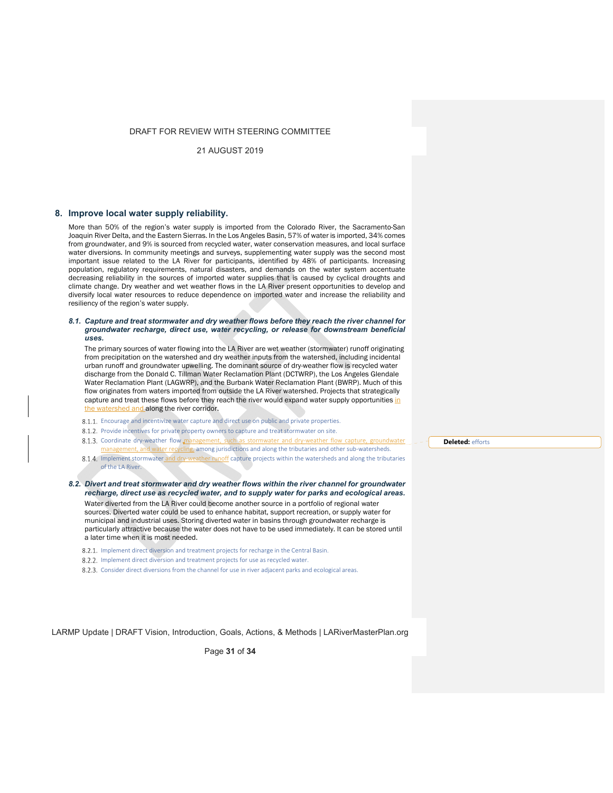21 AUGUST 2019

#### **8. Improve local water supply reliability.**

More than 50% of the region's water supply is imported from the Colorado River, the Sacramento-San Joaquin River Delta, and the Eastern Sierras. In the Los Angeles Basin, 57% of water is imported, 34% comes from groundwater, and 9% is sourced from recycled water, water conservation measures, and local surface water diversions. In community meetings and surveys, supplementing water supply was the second most important issue related to the LA River for participants, identified by 48% of participants. Increasing population, regulatory requirements, natural disasters, and demands on the water system accentuate decreasing reliability in the sources of imported water supplies that is caused by cyclical droughts and climate change. Dry weather and wet weather flows in the LA River present opportunities to develop and diversify local water resources to reduce dependence on imported water and increase the reliability and resiliency of the region's water supply.

#### *8.1. Capture and treat stormwater and dry weather flows before they reach the river channel for groundwater recharge, direct use, water recycling, or release for downstream beneficial uses.*

The primary sources of water flowing into the LA River are wet weather (stormwater) runoff originating from precipitation on the watershed and dry weather inputs from the watershed, including incidental urban runoff and groundwater upwelling. The dominant source of dry-weather flow is recycled water discharge from the Donald C. Tillman Water Reclamation Plant (DCTWRP), the Los Angeles Glendale Water Reclamation Plant (LAGWRP), and the Burbank Water Reclamation Plant (BWRP). Much of this flow originates from waters imported from outside the LA River watershed. Projects that strategically capture and treat these flows before they reach the river would expand water supply opportunities in the watershed and along the river corridor.

- 8.1.1. Encourage and incentivize water capture and direct use on public and private properties.
- 8.1.2. Provide incentives for private property owners to capture and treat stormwater on site.
- 8.1.3. Coordinate dry-weather flow management, such as stormwater and dry-weather flow capture, groundwate management, and water recycling, among jurisdictions and along the tributaries and other sub-watersheds.
- 8.1.4. Implement stormwater and dry-weather runoff capture projects within the watersheds and along the tributaries of the LA River.

*8.2. Divert and treat stormwater and dry weather flows within the river channel for groundwater recharge, direct use as recycled water, and to supply water for parks and ecological areas.*  Water diverted from the LA River could become another source in a portfolio of regional water sources. Diverted water could be used to enhance habitat, support recreation, or supply water for municipal and industrial uses. Storing diverted water in basins through groundwater recharge is particularly attractive because the water does not have to be used immediately. It can be stored until a later time when it is most needed.

- 8.2.1. Implement direct diversion and treatment projects for recharge in the Central Basin.
- 8.2.2. Implement direct diversion and treatment projects for use as recycled water.
- Consider direct diversions from the channel for use in river adjacent parks and ecological areas.

LARMP Update | DRAFT Vision, Introduction, Goals, Actions, & Methods | LARiverMasterPlan.org

Page **31** of **34**

**Deleted:** efforts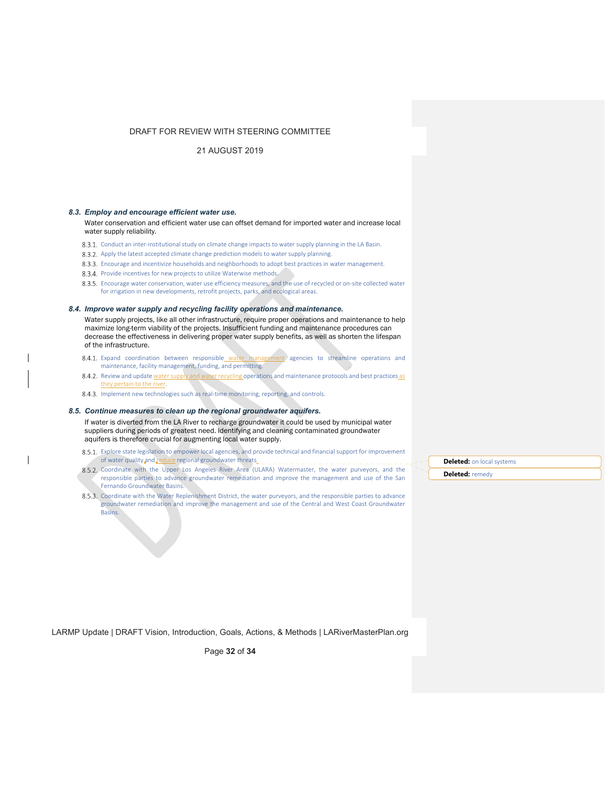21 AUGUST 2019

#### *8.3. Employ and encourage efficient water use.*

Water conservation and efficient water use can offset demand for imported water and increase local water supply reliability.

- 8.3.1. Conduct an inter-institutional study on climate change impacts to water supply planning in the LA Basin.
- 8.3.2. Apply the latest accepted climate change prediction models to water supply planning.
- 8.3.3. Encourage and incentivize households and neighborhoods to adopt best practices in water management.
- 8.3.4. Provide incentives for new projects to utilize Waterwise methods.

8.3.5. Encourage water conservation, water use efficiency measures, and the use of recycled or on-site collected water for irrigation in new developments, retrofit projects, parks, and ecological areas.

#### *8.4. Improve water supply and recycling facility operations and maintenance.*

Water supply projects, like all other infrastructure, require proper operations and maintenance to help maximize long-term viability of the projects. Insufficient funding and maintenance procedures can decrease the effectiveness in delivering proper water supply benefits, as well as shorten the lifespan of the infrastructure.

- 8.4.1. Expand coordination between responsible water management agencies to streamline operations and maintenance, facility management, funding, and permitting.
- 8.4.2. Review and update water supply and water recycling operations and maintenance protocols and best practices as they pertain to the river.
- 8.4.3. Implement new technologies such as real-time monitoring, reporting, and controls.

#### *8.5. Continue measures to clean up the regional groundwater aquifers.*

If water is diverted from the LA River to recharge groundwater it could be used by municipal water suppliers during periods of greatest need. Identifying and cleaning contaminated groundwater aquifers is therefore crucial for augmenting local water supply.

- 8.5.1. Explore state legislation to empower local agencies, and provide technical and financial support for improvement of water quality and reduce regional groundwater threats.
- 8.5.2. Coordinate with the Upper Los Angeles River Area (ULARA) Watermaster, the water purveyors, and the responsible parties to advance groundwater remediation and improve the management and use of the San Fernando Groundwater Basins.
- 8.5.3. Coordinate with the Water Replenishment District, the water purveyors, and the responsible parties to advance groundwater remediation and improve the management and use of the Central and West Coast Groundwater Basins.

**Deleted:** on local systems **Deleted:** remedy

LARMP Update | DRAFT Vision, Introduction, Goals, Actions, & Methods | LARiverMasterPlan.org

Page **32** of **34**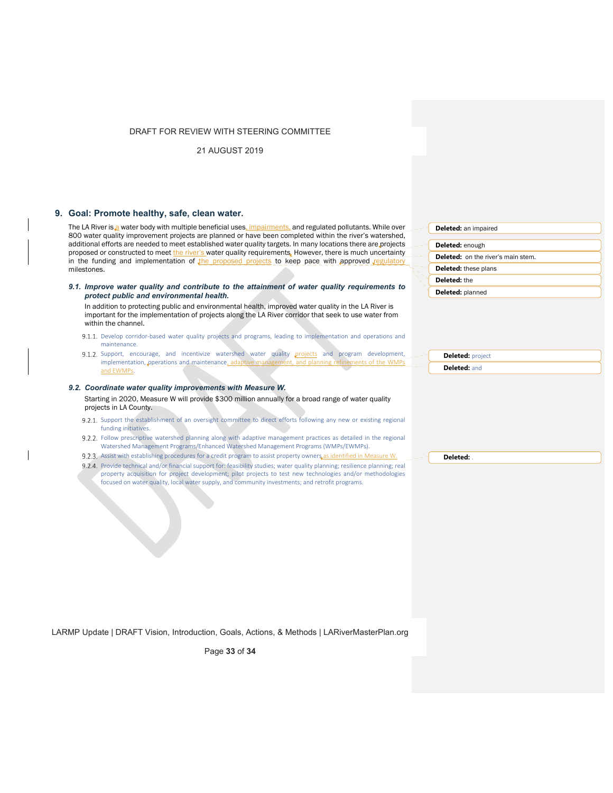21 AUGUST 2019

## **9. Goal: Promote healthy, safe, clean water.**

The LA River is a water body with multiple beneficial uses, impairments, and regulated pollutants. While over 800 water quality improvement projects are planned or have been completed within the river's watershed, additional efforts are needed to meet established water quality targets. In many locations there are projects proposed or constructed to meet the river's water quality requirements. However, there is much uncertainty in the funding and implementation of the proposed projects to keep pace with approved  $re$ milestones.

*9.1. Improve water quality and contribute to the attainment of water quality requirements to protect public and environmental health.* 

In addition to protecting public and environmental health, improved water quality in the LA River is important for the implementation of projects along the LA River corridor that seek to use water from within the channel.

- 9.1.1. Develop corridor-based water quality projects and programs, leading to implementation and operations and maintenance.
- 9.1.2. Support, encourage, and incentivize watershed water quality projects and program development, implementation, operations and maintenance, adaptive and EWMPs.

#### *9.2. Coordinate water quality improvements with Measure W.*  Starting in 2020, Measure W will provide \$300 million annually for a broad range of water quality projects in LA County.

- 9.2.1. Support the establishment of an oversight committee to direct efforts following any new or existing regional funding initiatives.
- 9.2.2. Follow prescriptive watershed planning along with adaptive management practices as detailed in the regional Watershed Management Programs/Enhanced Watershed Management Programs (WMPs/EWMPs).
- 9.2.3. Assist with establishing procedures for a credit program to assist property owners as identified in Measure W.
- 9.2.4. Provide technical and/or financial support for: feasibility studies; water quality planning; resilience planning; real property acquisition for project development; pilot projects to test new technologies and/or methodologies focused on water quality, local water supply, and community investments; and retrofit programs.

**Deleted:** an impaired **Deleted:** enough **Deleted:** on the river's main stem. **Deleted:** these plans **Deleted:** the

**Deleted:** planned

**Deleted:** project

**Deleted:** and

**Deleted:** .

LARMP Update | DRAFT Vision, Introduction, Goals, Actions, & Methods | LARiverMasterPlan.org

Page **33** of **34**